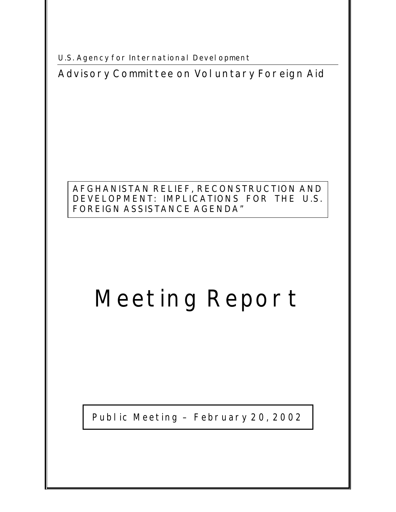**U.S. Agency for International Development** 

**Advisory Committee on Voluntary Foreign Aid** 

## **AFGHANISTAN RELIEF, RECONSTRUCTION AND DEVELOPMENT: IMPLICATIONS FOR THE U.S. FOREIGN ASSISTANCE AGENDA"**

# **Meeting Report**

Public Meeting – February 20, 2002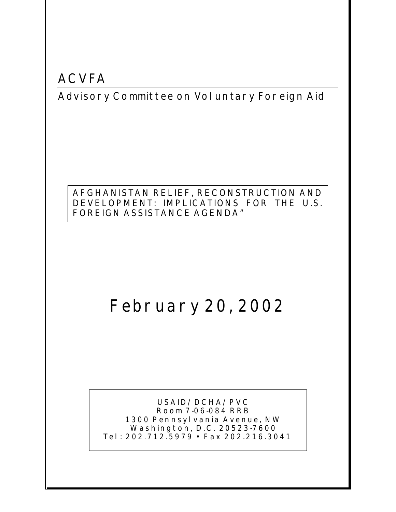## **ACVFA**

**Advisory Committee on Voluntary Foreign Aid** 

## **AFGHANISTAN RELIEF, RECONSTRUCTION AND DEVELOPMENT: IMPLICATIONS FOR THE U.S. FOREIGN ASSISTANCE AGENDA"**

## **February 20, 2002**

**USAID/DCHA/PVC Room 7-06-084 RRB 1300 Pennsylvania Avenue, NW Washington, D.C. 20523-7600 Tel: 202.712.5979 • Fax 202.216.3041**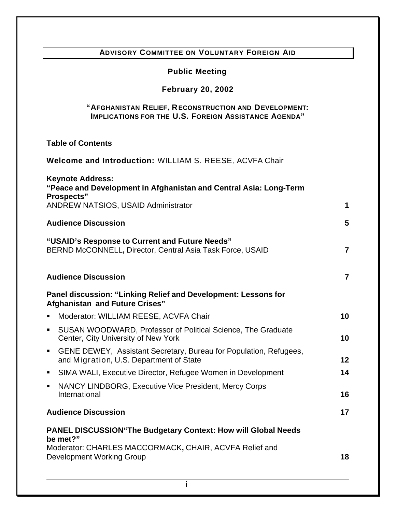## **ADVISORY COMMITTEE ON VOLUNTARY FOREIGN AID**

#### **Public Meeting**

#### **February 20, 2002**

#### **"AFGHANISTAN RELIEF, RECONSTRUCTION AND DEVELOPMENT: IMPLICATIONS FOR THE U.S. FOREIGN ASSISTANCE AGENDA"**

## **Table of Contents Welcome and Introduction:** WILLIAM S. REESE, ACVFA Chair **Keynote Address: "Peace and Development in Afghanistan and Central Asia: Long-Term Prospects"** ANDREW NATSIOS, USAID Administrator **1 Audience Discussion 5 "USAID's Response to Current and Future Needs"** BERND McCONNELL**,** Director, Central Asia Task Force, USAID **7 Audience Discussion 7 Panel discussion: "Linking Relief and Development: Lessons for Afghanistan and Future Crises" B** Moderator: WILLIAM REESE, ACVFA Chair **10** ß SUSAN WOODWARD, Professor of Political Science, The Graduate Center, City University of New York **10 GENE DEWEY, Assistant Secretary, Bureau for Population, Refugees,** and Migration, U.S. Department of State **12 SIMA WALI, Executive Director, Refugee Women in Development 14 NANCY LINDBORG, Executive Vice President, Mercy Corps** International **16 Audience Discussion 17 PANEL DISCUSSION"The Budgetary Context: How will Global Needs be met?"** Moderator: CHARLES MACCORMACK**,** CHAIR, ACVFA Relief and **Development Working Group <b>18 18**

**i**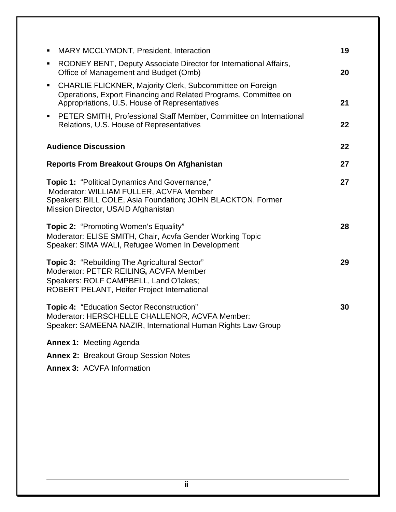| п                                                                                                                                                                                                     | MARY MCCLYMONT, President, Interaction                                                                                                                                               | 19 |
|-------------------------------------------------------------------------------------------------------------------------------------------------------------------------------------------------------|--------------------------------------------------------------------------------------------------------------------------------------------------------------------------------------|----|
| ٠                                                                                                                                                                                                     | RODNEY BENT, Deputy Associate Director for International Affairs,<br>Office of Management and Budget (Omb)                                                                           | 20 |
| $\blacksquare$                                                                                                                                                                                        | <b>CHARLIE FLICKNER, Majority Clerk, Subcommittee on Foreign</b><br>Operations, Export Financing and Related Programs, Committee on<br>Appropriations, U.S. House of Representatives | 21 |
| $\blacksquare$                                                                                                                                                                                        | PETER SMITH, Professional Staff Member, Committee on International<br>Relations, U.S. House of Representatives                                                                       | 22 |
|                                                                                                                                                                                                       | <b>Audience Discussion</b>                                                                                                                                                           | 22 |
| <b>Reports From Breakout Groups On Afghanistan</b>                                                                                                                                                    |                                                                                                                                                                                      | 27 |
| <b>Topic 1: "Political Dynamics And Governance,"</b><br>Moderator: WILLIAM FULLER, ACVFA Member<br>Speakers: BILL COLE, Asia Foundation; JOHN BLACKTON, Former<br>Mission Director, USAID Afghanistan |                                                                                                                                                                                      | 27 |
| <b>Topic 2: "Promoting Women's Equality"</b><br>Moderator: ELISE SMITH, Chair, Acvfa Gender Working Topic<br>Speaker: SIMA WALI, Refugee Women In Development                                         |                                                                                                                                                                                      | 28 |
| <b>Topic 3: "Rebuilding The Agricultural Sector"</b><br>Moderator: PETER REILING, ACVFA Member<br>Speakers: ROLF CAMPBELL, Land O'lakes;<br>ROBERT PELANT, Heifer Project International               |                                                                                                                                                                                      | 29 |
| <b>Topic 4: "Education Sector Reconstruction"</b><br>Moderator: HERSCHELLE CHALLENOR, ACVFA Member:<br>Speaker: SAMEENA NAZIR, International Human Rights Law Group                                   |                                                                                                                                                                                      | 30 |
| <b>Annex 1: Meeting Agenda</b>                                                                                                                                                                        |                                                                                                                                                                                      |    |
| <b>Annex 2: Breakout Group Session Notes</b>                                                                                                                                                          |                                                                                                                                                                                      |    |
|                                                                                                                                                                                                       | <b>Annex 3: ACVFA Information</b>                                                                                                                                                    |    |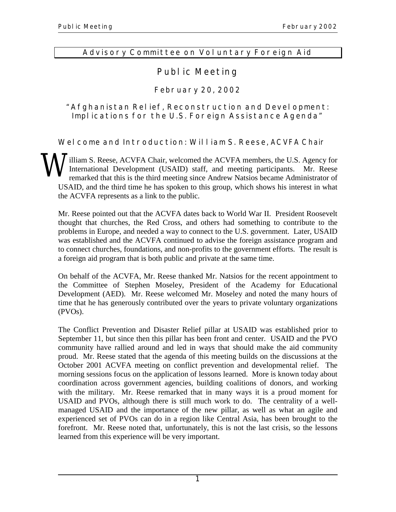## **Advisory Committee on Voluntary Foreign Aid**

## **Public Meeting**

## **February 20, 2002**

## **"Afghanistan Relief, Reconstruction and Development: Implications for the U.S. Foreign Assistance Agenda"**

**Welcome and Introduction: William S. Reese,** ACVFA Chair

illiam S. Reese, ACVFA Chair, welcomed the ACVFA members, the U.S. Agency for International Development (USAID) staff, and meeting participants. Mr. Reese remarked that this is the third meeting since Andrew Natsios became Administrator of USAID, and the third time he has spoken to this group, which shows his interest in what the ACVFA represents as a link to the public. **W** 

Mr. Reese pointed out that the ACVFA dates back to World War II. President Roosevelt thought that churches, the Red Cross, and others had something to contribute to the problems in Europe, and needed a way to connect to the U.S. government. Later, USAID was established and the ACVFA continued to advise the foreign assistance program and to connect churches, foundations, and non-profits to the government efforts. The result is a foreign aid program that is both public and private at the same time.

On behalf of the ACVFA, Mr. Reese thanked Mr. Natsios for the recent appointment to the Committee of Stephen Moseley, President of the Academy for Educational Development (AED). Mr. Reese welcomed Mr. Moseley and noted the many hours of time that he has generously contributed over the years to private voluntary organizations (PVOs).

The Conflict Prevention and Disaster Relief pillar at USAID was established prior to September 11, but since then this pillar has been front and center. USAID and the PVO community have rallied around and led in ways that should make the aid community proud. Mr. Reese stated that the agenda of this meeting builds on the discussions at the October 2001 ACVFA meeting on conflict prevention and developmental relief. The morning sessions focus on the application of lessons learned. More is known today about coordination across government agencies, building coalitions of donors, and working with the military. Mr. Reese remarked that in many ways it is a proud moment for USAID and PVOs, although there is still much work to do. The centrality of a wellmanaged USAID and the importance of the new pillar, as well as what an agile and experienced set of PVOs can do in a region like Central Asia, has been brought to the forefront. Mr. Reese noted that, unfortunately, this is not the last crisis, so the lessons learned from this experience will be very important.

**1**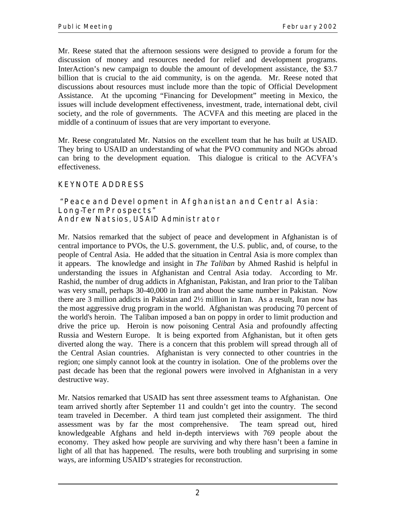Mr. Reese stated that the afternoon sessions were designed to provide a forum for the discussion of money and resources needed for relief and development programs. InterAction's new campaign to double the amount of development assistance, the \$3.7 billion that is crucial to the aid community, is on the agenda. Mr. Reese noted that discussions about resources must include more than the topic of Official Development Assistance. At the upcoming "Financing for Development" meeting in Mexico, the issues will include development effectiveness, investment, trade, international debt, civil society, and the role of governments. The ACVFA and this meeting are placed in the middle of a continuum of issues that are very important to everyone.

Mr. Reese congratulated Mr. Natsios on the excellent team that he has built at USAID. They bring to USAID an understanding of what the PVO community and NGOs abroad can bring to the development equation. This dialogue is critical to the ACVFA's effectiveness.

## **KEYNOTE ADDRESS**

#### **"Peace and Development in Afghanistan and Central Asia: Long-Term Prospects" Andrew Natsios**, USAID Administrator

Mr. Natsios remarked that the subject of peace and development in Afghanistan is of central importance to PVOs, the U.S. government, the U.S. public, and, of course, to the people of Central Asia. He added that the situation in Central Asia is more complex than it appears. The knowledge and insight in *The Taliban* by Ahmed Rashid is helpful in understanding the issues in Afghanistan and Central Asia today. According to Mr. Rashid, the number of drug addicts in Afghanistan, Pakistan, and Iran prior to the Taliban was very small, perhaps 30-40,000 in Iran and about the same number in Pakistan. Now there are 3 million addicts in Pakistan and 2½ million in Iran. As a result, Iran now has the most aggressive drug program in the world. Afghanistan was producing 70 percent of the world's heroin. The Taliban imposed a ban on poppy in order to limit production and drive the price up. Heroin is now poisoning Central Asia and profoundly affecting Russia and Western Europe. It is being exported from Afghanistan, but it often gets diverted along the way. There is a concern that this problem will spread through all of the Central Asian countries. Afghanistan is very connected to other countries in the region; one simply cannot look at the country in isolation. One of the problems over the past decade has been that the regional powers were involved in Afghanistan in a very destructive way.

Mr. Natsios remarked that USAID has sent three assessment teams to Afghanistan. One team arrived shortly after September 11 and couldn't get into the country. The second team traveled in December. A third team just completed their assignment. The third assessment was by far the most comprehensive. The team spread out, hired knowledgeable Afghans and held in-depth interviews with 769 people about the economy. They asked how people are surviving and why there hasn't been a famine in light of all that has happened. The results, were both troubling and surprising in some ways, are informing USAID's strategies for reconstruction.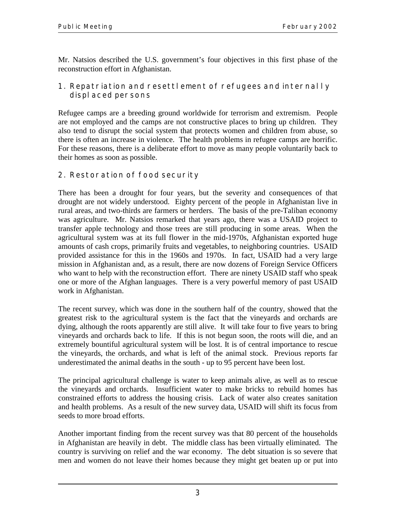Mr. Natsios described the U.S. government's four objectives in this first phase of the reconstruction effort in Afghanistan.

## **1. Repatriation and resettlement of refugees and internally displaced persons**

Refugee camps are a breeding ground worldwide for terrorism and extremism. People are not employed and the camps are not constructive places to bring up children. They also tend to disrupt the social system that protects women and children from abuse, so there is often an increase in violence. The health problems in refugee camps are horrific. For these reasons, there is a deliberate effort to move as many people voluntarily back to their homes as soon as possible.

## **2. Restoration of food security**

There has been a drought for four years, but the severity and consequences of that drought are not widely understood. Eighty percent of the people in Afghanistan live in rural areas, and two-thirds are farmers or herders. The basis of the pre-Taliban economy was agriculture. Mr. Natsios remarked that years ago, there was a USAID project to transfer apple technology and those trees are still producing in some areas. When the agricultural system was at its full flower in the mid-1970s, Afghanistan exported huge amounts of cash crops, primarily fruits and vegetables, to neighboring countries. USAID provided assistance for this in the 1960s and 1970s. In fact, USAID had a very large mission in Afghanistan and, as a result, there are now dozens of Foreign Service Officers who want to help with the reconstruction effort. There are ninety USAID staff who speak one or more of the Afghan languages. There is a very powerful memory of past USAID work in Afghanistan.

The recent survey, which was done in the southern half of the country, showed that the greatest risk to the agricultural system is the fact that the vineyards and orchards are dying, although the roots apparently are still alive. It will take four to five years to bring vineyards and orchards back to life. If this is not begun soon, the roots will die, and an extremely bountiful agricultural system will be lost. It is of central importance to rescue the vineyards, the orchards, and what is left of the animal stock. Previous reports far underestimated the animal deaths in the south - up to 95 percent have been lost.

The principal agricultural challenge is water to keep animals alive, as well as to rescue the vineyards and orchards. Insufficient water to make bricks to rebuild homes has constrained efforts to address the housing crisis. Lack of water also creates sanitation and health problems. As a result of the new survey data, USAID will shift its focus from seeds to more broad efforts.

Another important finding from the recent survey was that 80 percent of the households in Afghanistan are heavily in debt. The middle class has been virtually eliminated. The country is surviving on relief and the war economy. The debt situation is so severe that men and women do not leave their homes because they might get beaten up or put into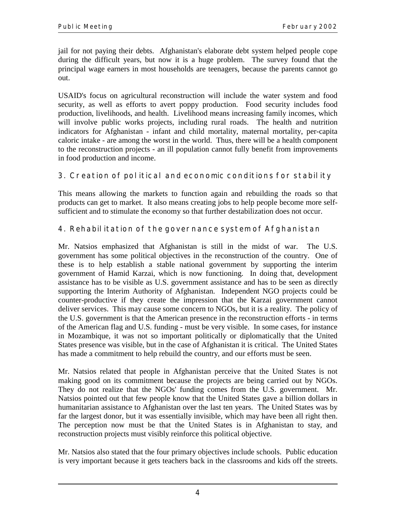jail for not paying their debts. Afghanistan's elaborate debt system helped people cope during the difficult years, but now it is a huge problem. The survey found that the principal wage earners in most households are teenagers, because the parents cannot go out.

USAID's focus on agricultural reconstruction will include the water system and food security, as well as efforts to avert poppy production. Food security includes food production, livelihoods, and health. Livelihood means increasing family incomes, which will involve public works projects, including rural roads. The health and nutrition indicators for Afghanistan - infant and child mortality, maternal mortality, per-capita caloric intake - are among the worst in the world. Thus, there will be a health component to the reconstruction projects - an ill population cannot fully benefit from improvements in food production and income.

## **3. Creation of political and economic conditions for stability**

This means allowing the markets to function again and rebuilding the roads so that products can get to market. It also means creating jobs to help people become more selfsufficient and to stimulate the economy so that further destabilization does not occur.

## **4. Rehabilitation of the governance system of Afghanistan**

Mr. Natsios emphasized that Afghanistan is still in the midst of war. The U.S. government has some political objectives in the reconstruction of the country. One of these is to help establish a stable national government by supporting the interim government of Hamid Karzai, which is now functioning. In doing that, development assistance has to be visible as U.S. government assistance and has to be seen as directly supporting the Interim Authority of Afghanistan. Independent NGO projects could be counter-productive if they create the impression that the Karzai government cannot deliver services. This may cause some concern to NGOs, but it is a reality. The policy of the U.S. government is that the American presence in the reconstruction efforts - in terms of the American flag and U.S. funding - must be very visible. In some cases, for instance in Mozambique, it was not so important politically or diplomatically that the United States presence was visible, but in the case of Afghanistan it is critical. The United States has made a commitment to help rebuild the country, and our efforts must be seen.

Mr. Natsios related that people in Afghanistan perceive that the United States is not making good on its commitment because the projects are being carried out by NGOs. They do not realize that the NGOs' funding comes from the U.S. government. Mr. Natsios pointed out that few people know that the United States gave a billion dollars in humanitarian assistance to Afghanistan over the last ten years. The United States was by far the largest donor, but it was essentially invisible, which may have been all right then. The perception now must be that the United States is in Afghanistan to stay, and reconstruction projects must visibly reinforce this political objective.

Mr. Natsios also stated that the four primary objectives include schools. Public education is very important because it gets teachers back in the classrooms and kids off the streets.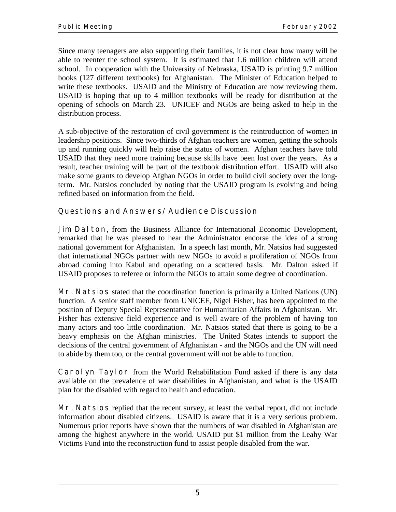Since many teenagers are also supporting their families, it is not clear how many will be able to reenter the school system. It is estimated that 1.6 million children will attend school. In cooperation with the University of Nebraska, USAID is printing 9.7 million books (127 different textbooks) for Afghanistan. The Minister of Education helped to write these textbooks. USAID and the Ministry of Education are now reviewing them. USAID is hoping that up to 4 million textbooks will be ready for distribution at the opening of schools on March 23. UNICEF and NGOs are being asked to help in the distribution process.

A sub-objective of the restoration of civil government is the reintroduction of women in leadership positions. Since two-thirds of Afghan teachers are women, getting the schools up and running quickly will help raise the status of women. Afghan teachers have told USAID that they need more training because skills have been lost over the years. As a result, teacher training will be part of the textbook distribution effort. USAID will also make some grants to develop Afghan NGOs in order to build civil society over the longterm. Mr. Natsios concluded by noting that the USAID program is evolving and being refined based on information from the field.

## **Questions and Answers/Audience Discussion**

**Jim Dalton**, from the Business Alliance for International Economic Development, remarked that he was pleased to hear the Administrator endorse the idea of a strong national government for Afghanistan. In a speech last month, Mr. Natsios had suggested that international NGOs partner with new NGOs to avoid a proliferation of NGOs from abroad coming into Kabul and operating on a scattered basis. Mr. Dalton asked if USAID proposes to referee or inform the NGOs to attain some degree of coordination.

**Mr. Natsios** stated that the coordination function is primarily a United Nations (UN) function. A senior staff member from UNICEF, Nigel Fisher, has been appointed to the position of Deputy Special Representative for Humanitarian Affairs in Afghanistan. Mr. Fisher has extensive field experience and is well aware of the problem of having too many actors and too little coordination. Mr. Natsios stated that there is going to be a heavy emphasis on the Afghan ministries. The United States intends to support the decisions of the central government of Afghanistan - and the NGOs and the UN will need to abide by them too, or the central government will not be able to function.

**Carolyn Taylor** from the World Rehabilitation Fund asked if there is any data available on the prevalence of war disabilities in Afghanistan, and what is the USAID plan for the disabled with regard to health and education.

**Mr. Natsios** replied that the recent survey, at least the verbal report, did not include information about disabled citizens. USAID is aware that it is a very serious problem. Numerous prior reports have shown that the numbers of war disabled in Afghanistan are among the highest anywhere in the world. USAID put \$1 million from the Leahy War Victims Fund into the reconstruction fund to assist people disabled from the war.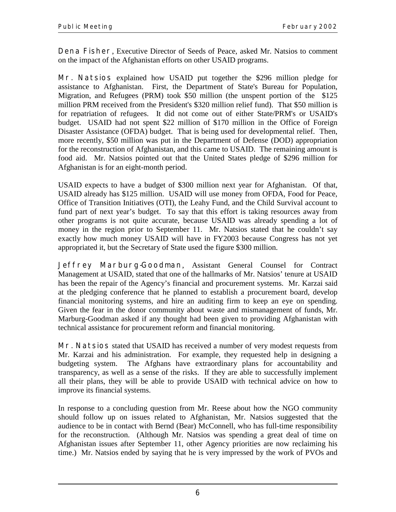**Dena Fisher**, Executive Director of Seeds of Peace, asked Mr. Natsios to comment on the impact of the Afghanistan efforts on other USAID programs.

**Mr. Natsios** explained how USAID put together the \$296 million pledge for assistance to Afghanistan. First, the Department of State's Bureau for Population, Migration, and Refugees (PRM) took \$50 million (the unspent portion of the \$125 million PRM received from the President's \$320 million relief fund). That \$50 million is for repatriation of refugees. It did not come out of either State/PRM's or USAID's budget. USAID had not spent \$22 million of \$170 million in the Office of Foreign Disaster Assistance (OFDA) budget. That is being used for developmental relief. Then, more recently, \$50 million was put in the Department of Defense (DOD) appropriation for the reconstruction of Afghanistan, and this came to USAID. The remaining amount is food aid. Mr. Natsios pointed out that the United States pledge of \$296 million for Afghanistan is for an eight-month period.

USAID expects to have a budget of \$300 million next year for Afghanistan. Of that, USAID already has \$125 million. USAID will use money from OFDA, Food for Peace, Office of Transition Initiatives (OTI), the Leahy Fund, and the Child Survival account to fund part of next year's budget. To say that this effort is taking resources away from other programs is not quite accurate, because USAID was already spending a lot of money in the region prior to September 11. Mr. Natsios stated that he couldn't say exactly how much money USAID will have in FY2003 because Congress has not yet appropriated it, but the Secretary of State used the figure \$300 million.

**Jeffrey Marburg-Goodman**, Assistant General Counsel for Contract Management at USAID, stated that one of the hallmarks of Mr. Natsios' tenure at USAID has been the repair of the Agency's financial and procurement systems. Mr. Karzai said at the pledging conference that he planned to establish a procurement board, develop financial monitoring systems, and hire an auditing firm to keep an eye on spending. Given the fear in the donor community about waste and mismanagement of funds, Mr. Marburg-Goodman asked if any thought had been given to providing Afghanistan with technical assistance for procurement reform and financial monitoring.

**Mr. Natsios** stated that USAID has received a number of very modest requests from Mr. Karzai and his administration. For example, they requested help in designing a budgeting system. The Afghans have extraordinary plans for accountability and transparency, as well as a sense of the risks. If they are able to successfully implement all their plans, they will be able to provide USAID with technical advice on how to improve its financial systems.

In response to a concluding question from Mr. Reese about how the NGO community should follow up on issues related to Afghanistan, Mr. Natsios suggested that the audience to be in contact with Bernd (Bear) McConnell, who has full-time responsibility for the reconstruction. (Although Mr. Natsios was spending a great deal of time on Afghanistan issues after September 11, other Agency priorities are now reclaiming his time.) Mr. Natsios ended by saying that he is very impressed by the work of PVOs and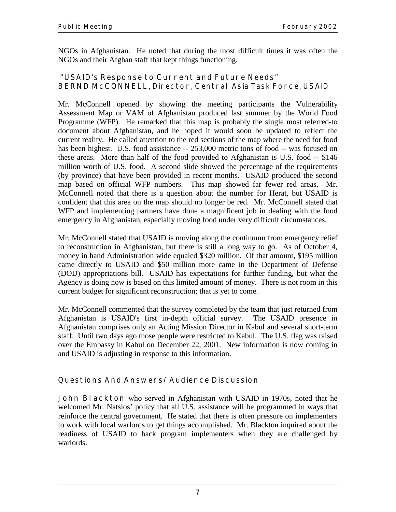NGOs in Afghanistan. He noted that during the most difficult times it was often the NGOs and their Afghan staff that kept things functioning.

## **"USAID's Response to Current and Future Needs" BERND McCONNELL**, Director, Central Asia Task Force, USAID ,

Mr. McConnell opened by showing the meeting participants the Vulnerability Assessment Map or VAM of Afghanistan produced last summer by the World Food Programme (WFP). He remarked that this map is probably the single most referred-to document about Afghanistan, and he hoped it would soon be updated to reflect the current reality. He called attention to the red sections of the map where the need for food has been highest. U.S. food assistance -- 253,000 metric tons of food -- was focused on these areas. More than half of the food provided to Afghanistan is U.S. food -- \$146 million worth of U.S. food. A second slide showed the percentage of the requirements (by province) that have been provided in recent months. USAID produced the second map based on official WFP numbers. This map showed far fewer red areas. Mr. McConnell noted that there is a question about the number for Herat, but USAID is confident that this area on the map should no longer be red. Mr. McConnell stated that WFP and implementing partners have done a magnificent job in dealing with the food emergency in Afghanistan, especially moving food under very difficult circumstances.

Mr. McConnell stated that USAID is moving along the continuum from emergency relief to reconstruction in Afghanistan, but there is still a long way to go. As of October 4, money in hand Administration wide equaled \$320 million. Of that amount, \$195 million came directly to USAID and \$50 million more came in the Department of Defense (DOD) appropriations bill. USAID has expectations for further funding, but what the Agency is doing now is based on this limited amount of money. There is not room in this current budget for significant reconstruction; that is yet to come.

Mr. McConnell commented that the survey completed by the team that just returned from Afghanistan is USAID's first in-depth official survey. The USAID presence in Afghanistan comprises only an Acting Mission Director in Kabul and several short-term staff. Until two days ago those people were restricted to Kabul. The U.S. flag was raised over the Embassy in Kabul on December 22, 2001. New information is now coming in and USAID is adjusting in response to this information.

## **Questions And Answers/Audience Discussion**

**John Blackton** who served in Afghanistan with USAID in 1970s, noted that he welcomed Mr. Natsios' policy that all U.S. assistance will be programmed in ways that reinforce the central government. He stated that there is often pressure on implementers to work with local warlords to get things accomplished. Mr. Blackton inquired about the readiness of USAID to back program implementers when they are challenged by warlords.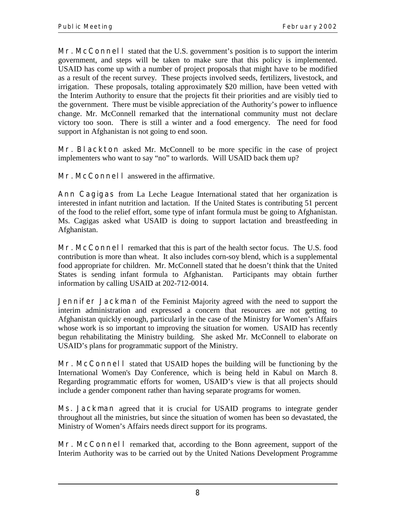**Mr. McConnell** stated that the U.S. government's position is to support the interim government, and steps will be taken to make sure that this policy is implemented. USAID has come up with a number of project proposals that might have to be modified as a result of the recent survey. These projects involved seeds, fertilizers, livestock, and irrigation. These proposals, totaling approximately \$20 million, have been vetted with the Interim Authority to ensure that the projects fit their priorities and are visibly tied to the government. There must be visible appreciation of the Authority's power to influence change. Mr. McConnell remarked that the international community must not declare victory too soon. There is still a winter and a food emergency. The need for food support in Afghanistan is not going to end soon.

**Mr. Blackton** asked Mr. McConnell to be more specific in the case of project implementers who want to say "no" to warlords. Will USAID back them up?

**Mr. McConnell** answered in the affirmative.

**Ann Cagigas** from La Leche League International stated that her organization is interested in infant nutrition and lactation. If the United States is contributing 51 percent of the food to the relief effort, some type of infant formula must be going to Afghanistan. Ms. Cagigas asked what USAID is doing to support lactation and breastfeeding in Afghanistan.

**Mr. McConnell** remarked that this is part of the health sector focus. The U.S. food contribution is more than wheat. It also includes corn-soy blend, which is a supplemental food appropriate for children. Mr. McConnell stated that he doesn't think that the United States is sending infant formula to Afghanistan. Participants may obtain further information by calling USAID at 202-712-0014.

**Jennifer Jackman** of the Feminist Majority agreed with the need to support the interim administration and expressed a concern that resources are not getting to Afghanistan quickly enough, particularly in the case of the Ministry for Women's Affairs whose work is so important to improving the situation for women. USAID has recently begun rehabilitating the Ministry building. She asked Mr. McConnell to elaborate on USAID's plans for programmatic support of the Ministry.

**Mr. McConnell** stated that USAID hopes the building will be functioning by the International Women's Day Conference, which is being held in Kabul on March 8. Regarding programmatic efforts for women, USAID's view is that all projects should include a gender component rather than having separate programs for women.

**Ms. Jackman** agreed that it is crucial for USAID programs to integrate gender throughout all the ministries, but since the situation of women has been so devastated, the Ministry of Women's Affairs needs direct support for its programs.

**Mr. McConnell** remarked that, according to the Bonn agreement, support of the Interim Authority was to be carried out by the United Nations Development Programme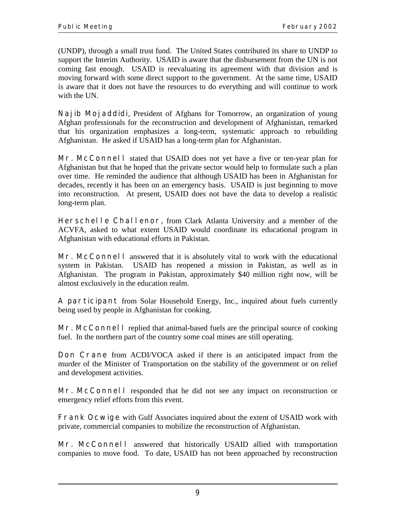(UNDP), through a small trust fund. The United States contributed its share to UNDP to support the Interim Authority. USAID is aware that the disbursement from the UN is not coming fast enough. USAID is reevaluating its agreement with that division and is moving forward with some direct support to the government. At the same time, USAID is aware that it does not have the resources to do everything and will continue to work with the UN.

**Najib Mojaddidi**, President of Afghans for Tomorrow, an organization of young Afghan professionals for the reconstruction and development of Afghanistan, remarked that his organization emphasizes a long-term, systematic approach to rebuilding Afghanistan. He asked if USAID has a long-term plan for Afghanistan.

**Mr. McConnell** stated that USAID does not yet have a five or ten-year plan for Afghanistan but that he hoped that the private sector would help to formulate such a plan over time. He reminded the audience that although USAID has been in Afghanistan for decades, recently it has been on an emergency basis. USAID is just beginning to move into reconstruction. At present, USAID does not have the data to develop a realistic long-term plan.

**Herschelle Challenor**, from Clark Atlanta University and a member of the ACVFA, asked to what extent USAID would coordinate its educational program in Afghanistan with educational efforts in Pakistan.

**Mr. McConnell** answered that it is absolutely vital to work with the educational system in Pakistan. USAID has reopened a mission in Pakistan, as well as in Afghanistan. The program in Pakistan, approximately \$40 million right now, will be almost exclusively in the education realm.

**A participant** from Solar Household Energy, Inc., inquired about fuels currently being used by people in Afghanistan for cooking.

**Mr. McConnell** replied that animal-based fuels are the principal source of cooking fuel. In the northern part of the country some coal mines are still operating.

**Don Crane** from ACDI/VOCA asked if there is an anticipated impact from the murder of the Minister of Transportation on the stability of the government or on relief and development activities.

**Mr. McConnell** responded that he did not see any impact on reconstruction or emergency relief efforts from this event.

**Frank Ocwige** with Gulf Associates inquired about the extent of USAID work with private, commercial companies to mobilize the reconstruction of Afghanistan.

**Mr. McConnell** answered that historically USAID allied with transportation companies to move food. To date, USAID has not been approached by reconstruction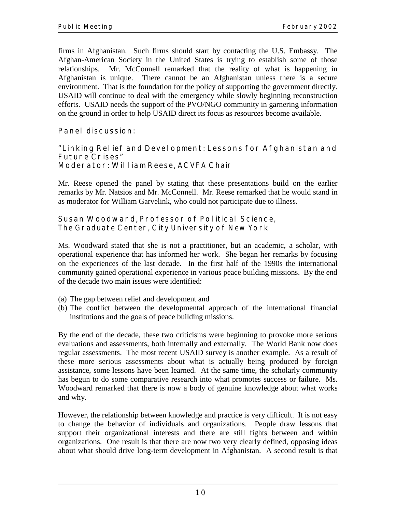firms in Afghanistan. Such firms should start by contacting the U.S. Embassy. The Afghan-American Society in the United States is trying to establish some of those relationships. Mr. McConnell remarked that the reality of what is happening in Afghanistan is unique. There cannot be an Afghanistan unless there is a secure environment. That is the foundation for the policy of supporting the government directly. USAID will continue to deal with the emergency while slowly beginning reconstruction efforts. USAID needs the support of the PVO/NGO community in garnering information on the ground in order to help USAID direct its focus as resources become available.

## **Panel discussion:**

#### **"Linking Relief and Development: Lessons for Afghanistan and Future Crises" Moderator: William Reese**, ACVFA Chair

Mr. Reese opened the panel by stating that these presentations build on the earlier remarks by Mr. Natsios and Mr. McConnell. Mr. Reese remarked that he would stand in as moderator for William Garvelink, who could not participate due to illness.

#### **Susan Woodward**, Professor of Political Science, The Graduate Center, City University of New York

Ms. Woodward stated that she is not a practitioner, but an academic, a scholar, with operational experience that has informed her work. She began her remarks by focusing on the experiences of the last decade. In the first half of the 1990s the international community gained operational experience in various peace building missions. By the end of the decade two main issues were identified:

- (a) The gap between relief and development and
- (b) The conflict between the developmental approach of the international financial institutions and the goals of peace building missions.

By the end of the decade, these two criticisms were beginning to provoke more serious evaluations and assessments, both internally and externally. The World Bank now does regular assessments. The most recent USAID survey is another example. As a result of these more serious assessments about what is actually being produced by foreign assistance, some lessons have been learned. At the same time, the scholarly community has begun to do some comparative research into what promotes success or failure. Ms. Woodward remarked that there is now a body of genuine knowledge about what works and why.

However, the relationship between knowledge and practice is very difficult. It is not easy to change the behavior of individuals and organizations. People draw lessons that support their organizational interests and there are still fights between and within organizations. One result is that there are now two very clearly defined, opposing ideas about what should drive long-term development in Afghanistan. A second result is that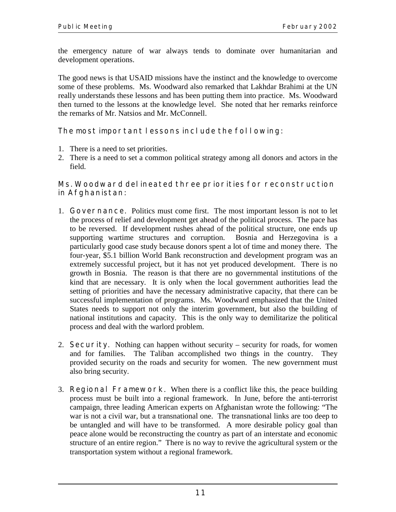the emergency nature of war always tends to dominate over humanitarian and development operations.

The good news is that USAID missions have the instinct and the knowledge to overcome some of these problems. Ms. Woodward also remarked that Lakhdar Brahimi at the UN really understands these lessons and has been putting them into practice. Ms. Woodward then turned to the lessons at the knowledge level. She noted that her remarks reinforce the remarks of Mr. Natsios and Mr. McConnell.

## **The most important lessons include the following:**

- 1. There is a need to set priorities.
- 2. There is a need to set a common political strategy among all donors and actors in the field.

## **Ms. Woodward delineated three priorities for reconstruction in Afghanistan:**

- 1. **Governance**. Politics must come first. The most important lesson is not to let the process of relief and development get ahead of the political process. The pace has to be reversed. If development rushes ahead of the political structure, one ends up supporting wartime structures and corruption. Bosnia and Herzegovina is a particularly good case study because donors spent a lot of time and money there. The four-year, \$5.1 billion World Bank reconstruction and development program was an extremely successful project, but it has not yet produced development. There is no growth in Bosnia. The reason is that there are no governmental institutions of the kind that are necessary. It is only when the local government authorities lead the setting of priorities and have the necessary administrative capacity, that there can be successful implementation of programs. Ms. Woodward emphasized that the United States needs to support not only the interim government, but also the building of national institutions and capacity. This is the only way to demilitarize the political process and deal with the warlord problem.
- 2. **Security**. Nothing can happen without security security for roads, for women and for families. The Taliban accomplished two things in the country. They provided security on the roads and security for women. The new government must also bring security.
- 3. **Regional Framework**. When there is a conflict like this, the peace building process must be built into a regional framework. In June, before the anti-terrorist campaign, three leading American experts on Afghanistan wrote the following: "The war is not a civil war, but a transnational one. The transnational links are too deep to be untangled and will have to be transformed. A more desirable policy goal than peace alone would be reconstructing the country as part of an interstate and economic structure of an entire region." There is no way to revive the agricultural system or the transportation system without a regional framework.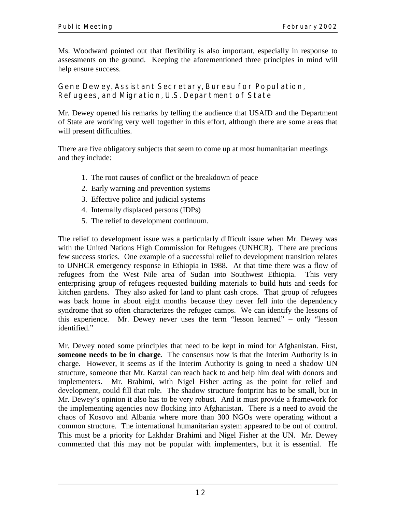Ms. Woodward pointed out that flexibility is also important, especially in response to assessments on the ground. Keeping the aforementioned three principles in mind will help ensure success.

**Gene Dewey**, Assistant Secretary, Bureau for Population, Refugees, and Migration, U.S. Department of State

Mr. Dewey opened his remarks by telling the audience that USAID and the Department of State are working very well together in this effort, although there are some areas that will present difficulties.

There are five obligatory subjects that seem to come up at most humanitarian meetings and they include:

- 1. The root causes of conflict or the breakdown of peace
- 2. Early warning and prevention systems
- 3. Effective police and judicial systems
- 4. Internally displaced persons (IDPs)
- 5. The relief to development continuum.

The relief to development issue was a particularly difficult issue when Mr. Dewey was with the United Nations High Commission for Refugees (UNHCR). There are precious few success stories. One example of a successful relief to development transition relates to UNHCR emergency response in Ethiopia in 1988. At that time there was a flow of refugees from the West Nile area of Sudan into Southwest Ethiopia. This very enterprising group of refugees requested building materials to build huts and seeds for kitchen gardens. They also asked for land to plant cash crops. That group of refugees was back home in about eight months because they never fell into the dependency syndrome that so often characterizes the refugee camps. We can identify the lessons of this experience. Mr. Dewey never uses the term "lesson learned" – only "lesson identified."

Mr. Dewey noted some principles that need to be kept in mind for Afghanistan. First, **someone needs to be in charge**. The consensus now is that the Interim Authority is in charge. However, it seems as if the Interim Authority is going to need a shadow UN structure, someone that Mr. Karzai can reach back to and help him deal with donors and implementers. Mr. Brahimi, with Nigel Fisher acting as the point for relief and development, could fill that role. The shadow structure footprint has to be small, but in Mr. Dewey's opinion it also has to be very robust. And it must provide a framework for the implementing agencies now flocking into Afghanistan. There is a need to avoid the chaos of Kosovo and Albania where more than 300 NGOs were operating without a common structure. The international humanitarian system appeared to be out of control. This must be a priority for Lakhdar Brahimi and Nigel Fisher at the UN. Mr. Dewey commented that this may not be popular with implementers, but it is essential. He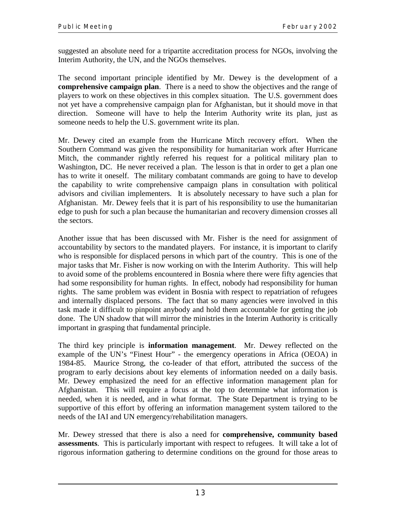suggested an absolute need for a tripartite accreditation process for NGOs, involving the Interim Authority, the UN, and the NGOs themselves.

The second important principle identified by Mr. Dewey is the development of a **comprehensive campaign plan**. There is a need to show the objectives and the range of players to work on these objectives in this complex situation. The U.S. government does not yet have a comprehensive campaign plan for Afghanistan, but it should move in that direction. Someone will have to help the Interim Authority write its plan, just as someone needs to help the U.S. government write its plan.

Mr. Dewey cited an example from the Hurricane Mitch recovery effort. When the Southern Command was given the responsibility for humanitarian work after Hurricane Mitch, the commander rightly referred his request for a political military plan to Washington, DC. He never received a plan. The lesson is that in order to get a plan one has to write it oneself. The military combatant commands are going to have to develop the capability to write comprehensive campaign plans in consultation with political advisors and civilian implementers. It is absolutely necessary to have such a plan for Afghanistan. Mr. Dewey feels that it is part of his responsibility to use the humanitarian edge to push for such a plan because the humanitarian and recovery dimension crosses all the sectors.

Another issue that has been discussed with Mr. Fisher is the need for assignment of accountability by sectors to the mandated players. For instance, it is important to clarify who is responsible for displaced persons in which part of the country. This is one of the major tasks that Mr. Fisher is now working on with the Interim Authority. This will help to avoid some of the problems encountered in Bosnia where there were fifty agencies that had some responsibility for human rights. In effect, nobody had responsibility for human rights. The same problem was evident in Bosnia with respect to repatriation of refugees and internally displaced persons. The fact that so many agencies were involved in this task made it difficult to pinpoint anybody and hold them accountable for getting the job done. The UN shadow that will mirror the ministries in the Interim Authority is critically important in grasping that fundamental principle.

The third key principle is **information management**. Mr. Dewey reflected on the example of the UN's "Finest Hour" - the emergency operations in Africa (OEOA) in 1984-85. Maurice Strong, the co-leader of that effort, attributed the success of the program to early decisions about key elements of information needed on a daily basis. Mr. Dewey emphasized the need for an effective information management plan for Afghanistan. This will require a focus at the top to determine what information is needed, when it is needed, and in what format. The State Department is trying to be supportive of this effort by offering an information management system tailored to the needs of the IAI and UN emergency/rehabilitation managers.

Mr. Dewey stressed that there is also a need for **comprehensive, community based assessments**. This is particularly important with respect to refugees. It will take a lot of rigorous information gathering to determine conditions on the ground for those areas to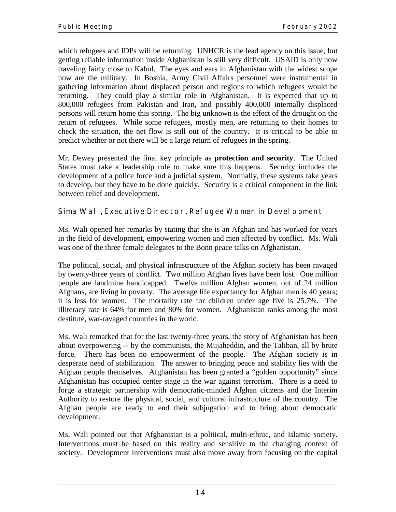which refugees and IDPs will be returning. UNHCR is the lead agency on this issue, but getting reliable information inside Afghanistan is still very difficult. USAID is only now traveling fairly close to Kabul. The eyes and ears in Afghanistan with the widest scope now are the military. In Bosnia, Army Civil Affairs personnel were instrumental in gathering information about displaced person and regions to which refugees would be returning. They could play a similar role in Afghanistan. It is expected that up to 800,000 refugees from Pakistan and Iran, and possibly 400,000 internally displaced persons will return home this spring. The big unknown is the effect of the drought on the return of refugees. While some refugees, mostly men, are returning to their homes to check the situation, the net flow is still out of the country. It is critical to be able to predict whether or not there will be a large return of refugees in the spring.

Mr. Dewey presented the final key principle as **protection and security**. The United States must take a leadership role to make sure this happens. Security includes the development of a police force and a judicial system. Normally, these systems take years to develop, but they have to be done quickly. Security is a critical component in the link between relief and development.

## **Sima Wali**, Executive Director, Refugee Women in Development

Ms. Wali opened her remarks by stating that she is an Afghan and has worked for years in the field of development, empowering women and men affected by conflict. Ms. Wali was one of the three female delegates to the Bonn peace talks on Afghanistan.

The political, social, and physical infrastructure of the Afghan society has been ravaged by twenty-three years of conflict. Two million Afghan lives have been lost. One million people are landmine handicapped. Twelve million Afghan women, out of 24 million Afghans, are living in poverty. The average life expectancy for Afghan men is 40 years; it is less for women. The mortality rate for children under age five is 25.7%. The illiteracy rate is 64% for men and 80% for women. Afghanistan ranks among the most destitute, war-ravaged countries in the world.

Ms. Wali remarked that for the last twenty-three years, the story of Afghanistan has been about overpowering -- by the communists, the Mujaheddin, and the Taliban, all by brute force. There has been no empowerment of the people. The Afghan society is in desperate need of stabilization. The answer to bringing peace and stability lies with the Afghan people themselves. Afghanistan has been granted a "golden opportunity" since Afghanistan has occupied center stage in the war against terrorism. There is a need to forge a strategic partnership with democratic-minded Afghan citizens and the Interim Authority to restore the physical, social, and cultural infrastructure of the country. The Afghan people are ready to end their subjugation and to bring about democratic development.

Ms. Wali pointed out that Afghanistan is a political, multi-ethnic, and Islamic society. Interventions must be based on this reality and sensitive to the changing context of society. Development interventions must also move away from focusing on the capital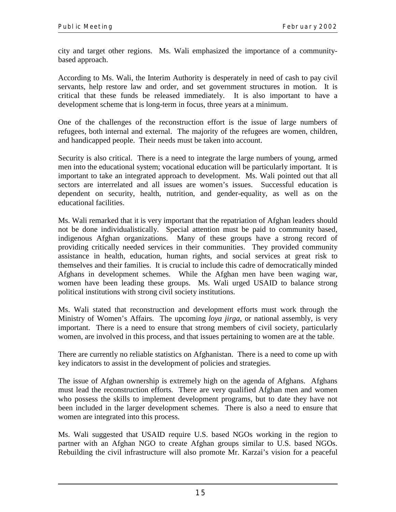city and target other regions. Ms. Wali emphasized the importance of a communitybased approach.

According to Ms. Wali, the Interim Authority is desperately in need of cash to pay civil servants, help restore law and order, and set government structures in motion. It is critical that these funds be released immediately. It is also important to have a development scheme that is long-term in focus, three years at a minimum.

One of the challenges of the reconstruction effort is the issue of large numbers of refugees, both internal and external. The majority of the refugees are women, children, and handicapped people. Their needs must be taken into account.

Security is also critical. There is a need to integrate the large numbers of young, armed men into the educational system; vocational education will be particularly important. It is important to take an integrated approach to development. Ms. Wali pointed out that all sectors are interrelated and all issues are women's issues. Successful education is dependent on security, health, nutrition, and gender-equality, as well as on the educational facilities.

Ms. Wali remarked that it is very important that the repatriation of Afghan leaders should not be done individualistically. Special attention must be paid to community based, indigenous Afghan organizations. Many of these groups have a strong record of providing critically needed services in their communities. They provided community assistance in health, education, human rights, and social services at great risk to themselves and their families. It is crucial to include this cadre of democratically minded Afghans in development schemes. While the Afghan men have been waging war, women have been leading these groups. Ms. Wali urged USAID to balance strong political institutions with strong civil society institutions.

Ms. Wali stated that reconstruction and development efforts must work through the Ministry of Women's Affairs. The upcoming *loya jirga*, or national assembly, is very important. There is a need to ensure that strong members of civil society, particularly women, are involved in this process, and that issues pertaining to women are at the table.

There are currently no reliable statistics on Afghanistan. There is a need to come up with key indicators to assist in the development of policies and strategies.

The issue of Afghan ownership is extremely high on the agenda of Afghans. Afghans must lead the reconstruction efforts. There are very qualified Afghan men and women who possess the skills to implement development programs, but to date they have not been included in the larger development schemes. There is also a need to ensure that women are integrated into this process.

Ms. Wali suggested that USAID require U.S. based NGOs working in the region to partner with an Afghan NGO to create Afghan groups similar to U.S. based NGOs. Rebuilding the civil infrastructure will also promote Mr. Karzai's vision for a peaceful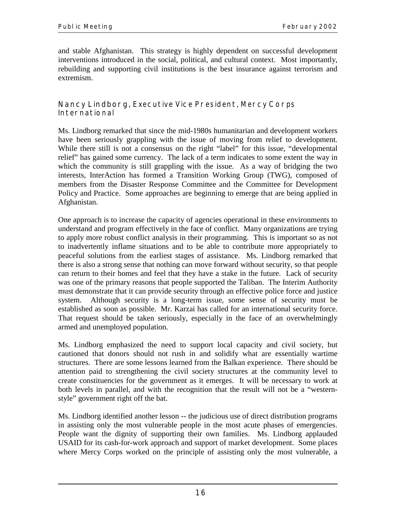and stable Afghanistan. This strategy is highly dependent on successful development interventions introduced in the social, political, and cultural context. Most importantly, rebuilding and supporting civil institutions is the best insurance against terrorism and extremism.

### **Nancy Lindborg**, Executive Vice President, Mercy Corps International

Ms. Lindborg remarked that since the mid-1980s humanitarian and development workers have been seriously grappling with the issue of moving from relief to development. While there still is not a consensus on the right "label" for this issue, "developmental relief" has gained some currency. The lack of a term indicates to some extent the way in which the community is still grappling with the issue. As a way of bridging the two interests, InterAction has formed a Transition Working Group (TWG), composed of members from the Disaster Response Committee and the Committee for Development Policy and Practice. Some approaches are beginning to emerge that are being applied in Afghanistan.

One approach is to increase the capacity of agencies operational in these environments to understand and program effectively in the face of conflict. Many organizations are trying to apply more robust conflict analysis in their programming. This is important so as not to inadvertently inflame situations and to be able to contribute more appropriately to peaceful solutions from the earliest stages of assistance. Ms. Lindborg remarked that there is also a strong sense that nothing can move forward without security, so that people can return to their homes and feel that they have a stake in the future. Lack of security was one of the primary reasons that people supported the Taliban. The Interim Authority must demonstrate that it can provide security through an effective police force and justice system. Although security is a long-term issue, some sense of security must be established as soon as possible. Mr. Karzai has called for an international security force. That request should be taken seriously, especially in the face of an overwhelmingly armed and unemployed population.

Ms. Lindborg emphasized the need to support local capacity and civil society, but cautioned that donors should not rush in and solidify what are essentially wartime structures. There are some lessons learned from the Balkan experience. There should be attention paid to strengthening the civil society structures at the community level to create constituencies for the government as it emerges. It will be necessary to work at both levels in parallel, and with the recognition that the result will not be a "westernstyle" government right off the bat.

Ms. Lindborg identified another lesson -- the judicious use of direct distribution programs in assisting only the most vulnerable people in the most acute phases of emergencies. People want the dignity of supporting their own families. Ms. Lindborg applauded USAID for its cash-for-work approach and support of market development. Some places where Mercy Corps worked on the principle of assisting only the most vulnerable, a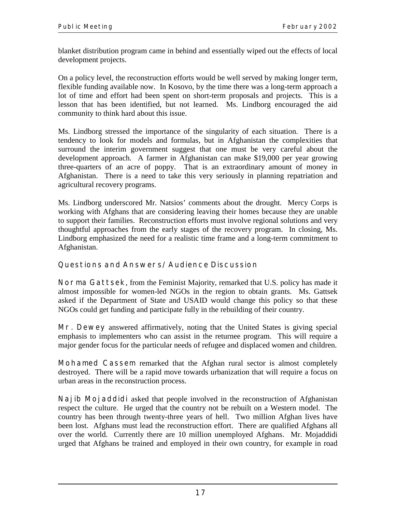blanket distribution program came in behind and essentially wiped out the effects of local development projects.

On a policy level, the reconstruction efforts would be well served by making longer term, flexible funding available now. In Kosovo, by the time there was a long-term approach a lot of time and effort had been spent on short-term proposals and projects. This is a lesson that has been identified, but not learned. Ms. Lindborg encouraged the aid community to think hard about this issue.

Ms. Lindborg stressed the importance of the singularity of each situation. There is a tendency to look for models and formulas, but in Afghanistan the complexities that surround the interim government suggest that one must be very careful about the development approach. A farmer in Afghanistan can make \$19,000 per year growing three-quarters of an acre of poppy. That is an extraordinary amount of money in Afghanistan. There is a need to take this very seriously in planning repatriation and agricultural recovery programs.

Ms. Lindborg underscored Mr. Natsios' comments about the drought. Mercy Corps is working with Afghans that are considering leaving their homes because they are unable to support their families. Reconstruction efforts must involve regional solutions and very thoughtful approaches from the early stages of the recovery program. In closing, Ms. Lindborg emphasized the need for a realistic time frame and a long-term commitment to Afghanistan.

## **Questions and Answers/Audience Discussion**

**Norma Gattsek**, from the Feminist Majority, remarked that U.S. policy has made it almost impossible for women-led NGOs in the region to obtain grants. Ms. Gattsek asked if the Department of State and USAID would change this policy so that these NGOs could get funding and participate fully in the rebuilding of their country.

**Mr. Dewey** answered affirmatively, noting that the United States is giving special emphasis to implementers who can assist in the returnee program. This will require a major gender focus for the particular needs of refugee and displaced women and children.

**Mohamed Cassem** remarked that the Afghan rural sector is almost completely destroyed. There will be a rapid move towards urbanization that will require a focus on urban areas in the reconstruction process.

**Najib Mojaddidi** asked that people involved in the reconstruction of Afghanistan respect the culture. He urged that the country not be rebuilt on a Western model. The country has been through twenty-three years of hell. Two million Afghan lives have been lost. Afghans must lead the reconstruction effort. There are qualified Afghans all over the world. Currently there are 10 million unemployed Afghans. Mr. Mojaddidi urged that Afghans be trained and employed in their own country, for example in road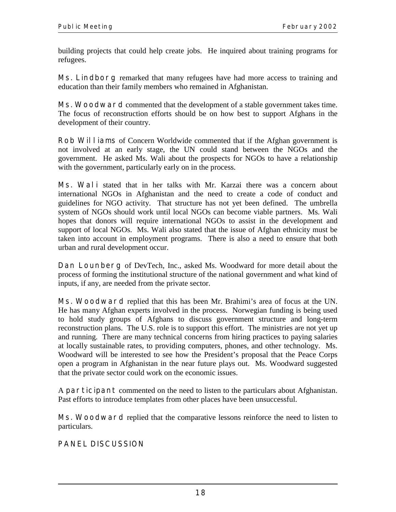building projects that could help create jobs. He inquired about training programs for refugees.

**Ms. Lindborg** remarked that many refugees have had more access to training and education than their family members who remained in Afghanistan.

**Ms. Woodward** commented that the development of a stable government takes time. The focus of reconstruction efforts should be on how best to support Afghans in the development of their country.

**Rob Williams** of Concern Worldwide commented that if the Afghan government is not involved at an early stage, the UN could stand between the NGOs and the government. He asked Ms. Wali about the prospects for NGOs to have a relationship with the government, particularly early on in the process.

**Ms. Wali** stated that in her talks with Mr. Karzai there was a concern about international NGOs in Afghanistan and the need to create a code of conduct and guidelines for NGO activity. That structure has not yet been defined. The umbrella system of NGOs should work until local NGOs can become viable partners. Ms. Wali hopes that donors will require international NGOs to assist in the development and support of local NGOs. Ms. Wali also stated that the issue of Afghan ethnicity must be taken into account in employment programs. There is also a need to ensure that both urban and rural development occur.

**Dan Lounberg** of DevTech, Inc., asked Ms. Woodward for more detail about the process of forming the institutional structure of the national government and what kind of inputs, if any, are needed from the private sector.

**Ms. Woodward** replied that this has been Mr. Brahimi's area of focus at the UN. He has many Afghan experts involved in the process. Norwegian funding is being used to hold study groups of Afghans to discuss government structure and long-term reconstruction plans. The U.S. role is to support this effort. The ministries are not yet up and running. There are many technical concerns from hiring practices to paying salaries at locally sustainable rates, to providing computers, phones, and other technology. Ms. Woodward will be interested to see how the President's proposal that the Peace Corps open a program in Afghanistan in the near future plays out. Ms. Woodward suggested that the private sector could work on the economic issues.

A **participant** commented on the need to listen to the particulars about Afghanistan. Past efforts to introduce templates from other places have been unsuccessful.

**Ms. Woodward** replied that the comparative lessons reinforce the need to listen to particulars.

## **PANEL DISCUSSION**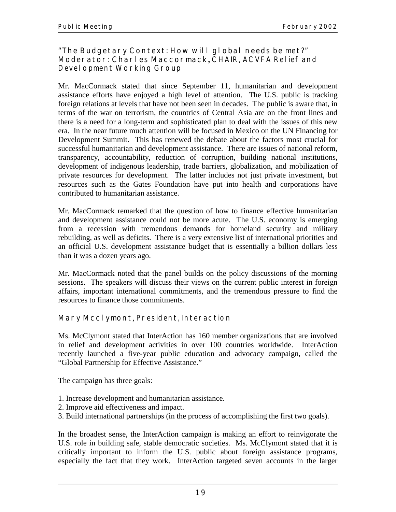## **"The Budgetary Context: How will global needs be met?" Moderator: Charles Maccormack,** CHAIR, ACVFA Relief and Devel opment Working Group

Mr. MacCormack stated that since September 11, humanitarian and development assistance efforts have enjoyed a high level of attention. The U.S. public is tracking foreign relations at levels that have not been seen in decades. The public is aware that, in terms of the war on terrorism, the countries of Central Asia are on the front lines and there is a need for a long-term and sophisticated plan to deal with the issues of this new era. In the near future much attention will be focused in Mexico on the UN Financing for Development Summit. This has renewed the debate about the factors most crucial for successful humanitarian and development assistance. There are issues of national reform, transparency, accountability, reduction of corruption, building national institutions, development of indigenous leadership, trade barriers, globalization, and mobilization of private resources for development. The latter includes not just private investment, but resources such as the Gates Foundation have put into health and corporations have contributed to humanitarian assistance.

Mr. MacCormack remarked that the question of how to finance effective humanitarian and development assistance could not be more acute. The U.S. economy is emerging from a recession with tremendous demands for homeland security and military rebuilding, as well as deficits. There is a very extensive list of international priorities and an official U.S. development assistance budget that is essentially a billion dollars less than it was a dozen years ago.

Mr. MacCormack noted that the panel builds on the policy discussions of the morning sessions. The speakers will discuss their views on the current public interest in foreign affairs, important international commitments, and the tremendous pressure to find the resources to finance those commitments.

## **Mary Mcclymont**, President, Interaction

Ms. McClymont stated that InterAction has 160 member organizations that are involved in relief and development activities in over 100 countries worldwide. InterAction recently launched a five-year public education and advocacy campaign, called the "Global Partnership for Effective Assistance."

The campaign has three goals:

- 1. Increase development and humanitarian assistance.
- 2. Improve aid effectiveness and impact.
- 3. Build international partnerships (in the process of accomplishing the first two goals).

In the broadest sense, the InterAction campaign is making an effort to reinvigorate the U.S. role in building safe, stable democratic societies. Ms. McClymont stated that it is critically important to inform the U.S. public about foreign assistance programs, especially the fact that they work. InterAction targeted seven accounts in the larger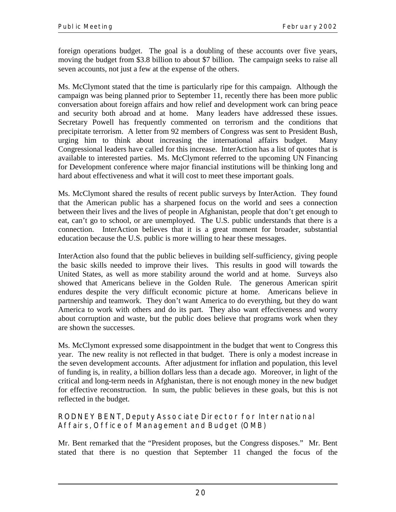foreign operations budget. The goal is a doubling of these accounts over five years, moving the budget from \$3.8 billion to about \$7 billion. The campaign seeks to raise all seven accounts, not just a few at the expense of the others.

Ms. McClymont stated that the time is particularly ripe for this campaign. Although the campaign was being planned prior to September 11, recently there has been more public conversation about foreign affairs and how relief and development work can bring peace and security both abroad and at home. Many leaders have addressed these issues. Secretary Powell has frequently commented on terrorism and the conditions that precipitate terrorism. A letter from 92 members of Congress was sent to President Bush, urging him to think about increasing the international affairs budget. Many Congressional leaders have called for this increase. InterAction has a list of quotes that is available to interested parties. Ms. McClymont referred to the upcoming UN Financing for Development conference where major financial institutions will be thinking long and hard about effectiveness and what it will cost to meet these important goals.

Ms. McClymont shared the results of recent public surveys by InterAction. They found that the American public has a sharpened focus on the world and sees a connection between their lives and the lives of people in Afghanistan, people that don't get enough to eat, can't go to school, or are unemployed. The U.S. public understands that there is a connection. InterAction believes that it is a great moment for broader, substantial education because the U.S. public is more willing to hear these messages.

InterAction also found that the public believes in building self-sufficiency, giving people the basic skills needed to improve their lives. This results in good will towards the United States, as well as more stability around the world and at home. Surveys also showed that Americans believe in the Golden Rule. The generous American spirit endures despite the very difficult economic picture at home. Americans believe in partnership and teamwork. They don't want America to do everything, but they do want America to work with others and do its part. They also want effectiveness and worry about corruption and waste, but the public does believe that programs work when they are shown the successes.

Ms. McClymont expressed some disappointment in the budget that went to Congress this year. The new reality is not reflected in that budget. There is only a modest increase in the seven development accounts. After adjustment for inflation and population, this level of funding is, in reality, a billion dollars less than a decade ago. Moreover, in light of the critical and long-term needs in Afghanistan, there is not enough money in the new budget for effective reconstruction. In sum, the public believes in these goals, but this is not reflected in the budget.

**RODNEY BENT**, Deputy Associate Director for International Affairs, Office of Management and Budget (OMB)

Mr. Bent remarked that the "President proposes, but the Congress disposes." Mr. Bent stated that there is no question that September 11 changed the focus of the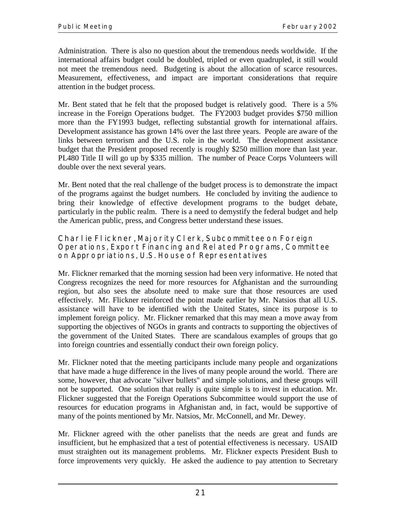Administration. There is also no question about the tremendous needs worldwide. If the international affairs budget could be doubled, tripled or even quadrupled, it still would not meet the tremendous need. Budgeting is about the allocation of scarce resources. Measurement, effectiveness, and impact are important considerations that require attention in the budget process.

Mr. Bent stated that he felt that the proposed budget is relatively good. There is a 5% increase in the Foreign Operations budget. The FY2003 budget provides \$750 million more than the FY1993 budget, reflecting substantial growth for international affairs. Development assistance has grown 14% over the last three years. People are aware of the links between terrorism and the U.S. role in the world. The development assistance budget that the President proposed recently is roughly \$250 million more than last year. PL480 Title II will go up by \$335 million. The number of Peace Corps Volunteers will double over the next several years.

Mr. Bent noted that the real challenge of the budget process is to demonstrate the impact of the programs against the budget numbers. He concluded by inviting the audience to bring their knowledge of effective development programs to the budget debate, particularly in the public realm. There is a need to demystify the federal budget and help the American public, press, and Congress better understand these issues.

**Charlie Flickner**, Majority Clerk, Subcommittee on Foreign Operations, Export Financing and Related Programs, Committee on Appropriations, U.S. House of Representatives

Mr. Flickner remarked that the morning session had been very informative. He noted that Congress recognizes the need for more resources for Afghanistan and the surrounding region, but also sees the absolute need to make sure that those resources are used effectively. Mr. Flickner reinforced the point made earlier by Mr. Natsios that all U.S. assistance will have to be identified with the United States, since its purpose is to implement foreign policy. Mr. Flickner remarked that this may mean a move away from supporting the objectives of NGOs in grants and contracts to supporting the objectives of the government of the United States. There are scandalous examples of groups that go into foreign countries and essentially conduct their own foreign policy.

Mr. Flickner noted that the meeting participants include many people and organizations that have made a huge difference in the lives of many people around the world. There are some, however, that advocate "silver bullets" and simple solutions, and these groups will not be supported. One solution that really is quite simple is to invest in education. Mr. Flickner suggested that the Foreign Operations Subcommittee would support the use of resources for education programs in Afghanistan and, in fact, would be supportive of many of the points mentioned by Mr. Natsios, Mr. McConnell, and Mr. Dewey.

Mr. Flickner agreed with the other panelists that the needs are great and funds are insufficient, but he emphasized that a test of potential effectiveness is necessary. USAID must straighten out its management problems. Mr. Flickner expects President Bush to force improvements very quickly. He asked the audience to pay attention to Secretary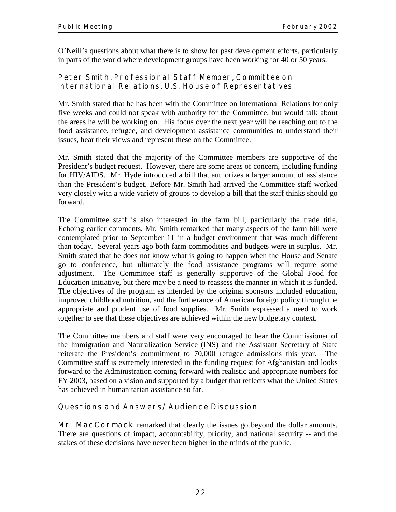O'Neill's questions about what there is to show for past development efforts, particularly in parts of the world where development groups have been working for 40 or 50 years.

## **Peter Smith**, Professional Staff Member, Committee on International Relations, U.S. House of Representatives

Mr. Smith stated that he has been with the Committee on International Relations for only five weeks and could not speak with authority for the Committee, but would talk about the areas he will be working on. His focus over the next year will be reaching out to the food assistance, refugee, and development assistance communities to understand their issues, hear their views and represent these on the Committee.

Mr. Smith stated that the majority of the Committee members are supportive of the President's budget request. However, there are some areas of concern, including funding for HIV/AIDS. Mr. Hyde introduced a bill that authorizes a larger amount of assistance than the President's budget. Before Mr. Smith had arrived the Committee staff worked very closely with a wide variety of groups to develop a bill that the staff thinks should go forward.

The Committee staff is also interested in the farm bill, particularly the trade title. Echoing earlier comments, Mr. Smith remarked that many aspects of the farm bill were contemplated prior to September 11 in a budget environment that was much different than today. Several years ago both farm commodities and budgets were in surplus. Mr. Smith stated that he does not know what is going to happen when the House and Senate go to conference, but ultimately the food assistance programs will require some adjustment. The Committee staff is generally supportive of the Global Food for Education initiative, but there may be a need to reassess the manner in which it is funded. The objectives of the program as intended by the original sponsors included education, improved childhood nutrition, and the furtherance of American foreign policy through the appropriate and prudent use of food supplies. Mr. Smith expressed a need to work together to see that these objectives are achieved within the new budgetary context.

The Committee members and staff were very encouraged to hear the Commissioner of the Immigration and Naturalization Service (INS) and the Assistant Secretary of State reiterate the President's commitment to 70,000 refugee admissions this year. The Committee staff is extremely interested in the funding request for Afghanistan and looks forward to the Administration coming forward with realistic and appropriate numbers for FY 2003, based on a vision and supported by a budget that reflects what the United States has achieved in humanitarian assistance so far.

## **Questions and Answers/Audience Discussion**

**Mr. MacCormack** remarked that clearly the issues go beyond the dollar amounts. There are questions of impact, accountability, priority, and national security -- and the stakes of these decisions have never been higher in the minds of the public.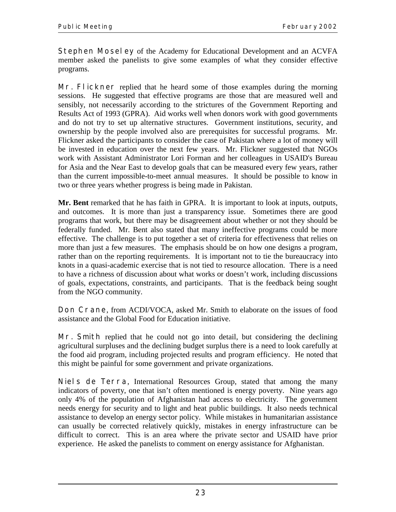**Stephen Moseley** of the Academy for Educational Development and an ACVFA member asked the panelists to give some examples of what they consider effective programs.

**Mr. Flickner** replied that he heard some of those examples during the morning sessions. He suggested that effective programs are those that are measured well and sensibly, not necessarily according to the strictures of the Government Reporting and Results Act of 1993 (GPRA). Aid works well when donors work with good governments and do not try to set up alternative structures. Government institutions, security, and ownership by the people involved also are prerequisites for successful programs. Mr. Flickner asked the participants to consider the case of Pakistan where a lot of money will be invested in education over the next few years. Mr. Flickner suggested that NGOs work with Assistant Administrator Lori Forman and her colleagues in USAID's Bureau for Asia and the Near East to develop goals that can be measured every few years, rather than the current impossible-to-meet annual measures. It should be possible to know in two or three years whether progress is being made in Pakistan.

**Mr. Bent** remarked that he has faith in GPRA. It is important to look at inputs, outputs, and outcomes. It is more than just a transparency issue. Sometimes there are good programs that work, but there may be disagreement about whether or not they should be federally funded. Mr. Bent also stated that many ineffective programs could be more effective. The challenge is to put together a set of criteria for effectiveness that relies on more than just a few measures. The emphasis should be on how one designs a program, rather than on the reporting requirements. It is important not to tie the bureaucracy into knots in a quasi-academic exercise that is not tied to resource allocation. There is a need to have a richness of discussion about what works or doesn't work, including discussions of goals, expectations, constraints, and participants. That is the feedback being sought from the NGO community.

**Don Crane**, from ACDI/VOCA, asked Mr. Smith to elaborate on the issues of food assistance and the Global Food for Education initiative.

**Mr. Smith** replied that he could not go into detail, but considering the declining agricultural surpluses and the declining budget surplus there is a need to look carefully at the food aid program, including projected results and program efficiency. He noted that this might be painful for some government and private organizations.

**Niels de Terra**, International Resources Group, stated that among the many indicators of poverty, one that isn't often mentioned is energy poverty. Nine years ago only 4% of the population of Afghanistan had access to electricity. The government needs energy for security and to light and heat public buildings. It also needs technical assistance to develop an energy sector policy. While mistakes in humanitarian assistance can usually be corrected relatively quickly, mistakes in energy infrastructure can be difficult to correct. This is an area where the private sector and USAID have prior experience. He asked the panelists to comment on energy assistance for Afghanistan.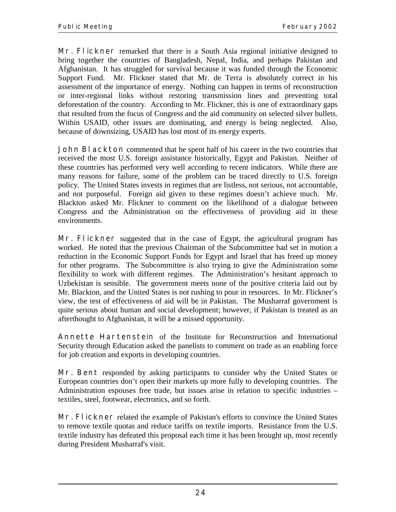**Mr. Flickner** remarked that there is a South Asia regional initiative designed to bring together the countries of Bangladesh, Nepal, India, and perhaps Pakistan and Afghanistan. It has struggled for survival because it was funded through the Economic Support Fund. Mr. Flickner stated that Mr. de Terra is absolutely correct in his assessment of the importance of energy. Nothing can happen in terms of reconstruction or inter-regional links without restoring transmission lines and preventing total deforestation of the country. According to Mr. Flickner, this is one of extraordinary gaps that resulted from the focus of Congress and the aid community on selected silver bullets. Within USAID, other issues are dominating, and energy is being neglected. Also, because of downsizing, USAID has lost most of its energy experts.

**John BI ackton** commented that he spent half of his career in the two countries that received the most U.S. foreign assistance historically, Egypt and Pakistan. Neither of these countries has performed very well according to recent indicators. While there are many reasons for failure, some of the problem can be traced directly to U.S. foreign policy. The United States invests in regimes that are listless, not serious, not accountable, and not purposeful. Foreign aid given to these regimes doesn't achieve much. Mr. Blackton asked Mr. Flickner to comment on the likelihood of a dialogue between Congress and the Administration on the effectiveness of providing aid in these environments.

**Mr. Flickner** suggested that in the case of Egypt, the agricultural program has worked. He noted that the previous Chairman of the Subcommittee had set in motion a reduction in the Economic Support Funds for Egypt and Israel that has freed up money for other programs. The Subcommittee is also trying to give the Administration some flexibility to work with different regimes. The Administration's hesitant approach to Uzbekistan is sensible. The government meets none of the positive criteria laid out by Mr. Blackton, and the United States is not rushing to pour in resources. In Mr. Flickner's view, the test of effectiveness of aid will be in Pakistan. The Musharraf government is quite serious about human and social development; however, if Pakistan is treated as an afterthought to Afghanistan, it will be a missed opportunity.

**Annette Hartenstein** of the Institute for Reconstruction and International Security through Education asked the panelists to comment on trade as an enabling force for job creation and exports in developing countries.

**Mr. Bent** responded by asking participants to consider why the United States or European countries don't open their markets up more fully to developing countries. The Administration espouses free trade, but issues arise in relation to specific industries – textiles, steel, footwear, electronics, and so forth.

**Mr. Flickner** related the example of Pakistan's efforts to convince the United States to remove textile quotas and reduce tariffs on textile imports. Resistance from the U.S. textile industry has defeated this proposal each time it has been brought up, most recently during President Musharraf's visit.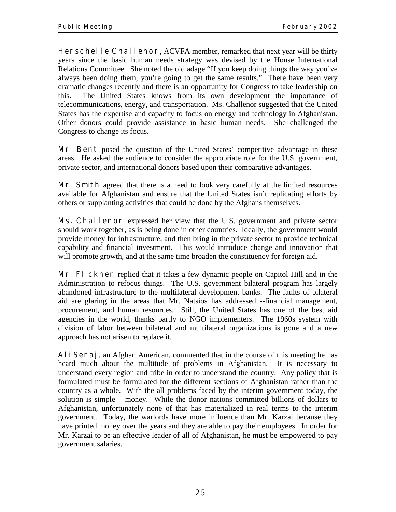**Herschelle Challenor, ACVFA member, remarked that next year will be thirty** years since the basic human needs strategy was devised by the House International Relations Committee. She noted the old adage "If you keep doing things the way you've always been doing them, you're going to get the same results." There have been very dramatic changes recently and there is an opportunity for Congress to take leadership on this. The United States knows from its own development the importance of telecommunications, energy, and transportation. Ms. Challenor suggested that the United States has the expertise and capacity to focus on energy and technology in Afghanistan. Other donors could provide assistance in basic human needs. She challenged the Congress to change its focus.

**Mr. Bent** posed the question of the United States' competitive advantage in these areas. He asked the audience to consider the appropriate role for the U.S. government, private sector, and international donors based upon their comparative advantages.

**Mr. Smith** agreed that there is a need to look very carefully at the limited resources available for Afghanistan and ensure that the United States isn't replicating efforts by others or supplanting activities that could be done by the Afghans themselves.

**Ms. Challenor** expressed her view that the U.S. government and private sector should work together, as is being done in other countries. Ideally, the government would provide money for infrastructure, and then bring in the private sector to provide technical capability and financial investment. This would introduce change and innovation that will promote growth, and at the same time broaden the constituency for foreign aid.

**Mr. Flickner** replied that it takes a few dynamic people on Capitol Hill and in the Administration to refocus things. The U.S. government bilateral program has largely abandoned infrastructure to the multilateral development banks. The faults of bilateral aid are glaring in the areas that Mr. Natsios has addressed --financial management, procurement, and human resources. Still, the United States has one of the best aid agencies in the world, thanks partly to NGO implementers. The 1960s system with division of labor between bilateral and multilateral organizations is gone and a new approach has not arisen to replace it.

**Ali Seraj**, an Afghan American, commented that in the course of this meeting he has heard much about the multitude of problems in Afghanistan. It is necessary to understand every region and tribe in order to understand the country. Any policy that is formulated must be formulated for the different sections of Afghanistan rather than the country as a whole. With the all problems faced by the interim government today, the solution is simple – money. While the donor nations committed billions of dollars to Afghanistan, unfortunately none of that has materialized in real terms to the interim government. Today, the warlords have more influence than Mr. Karzai because they have printed money over the years and they are able to pay their employees. In order for Mr. Karzai to be an effective leader of all of Afghanistan, he must be empowered to pay government salaries.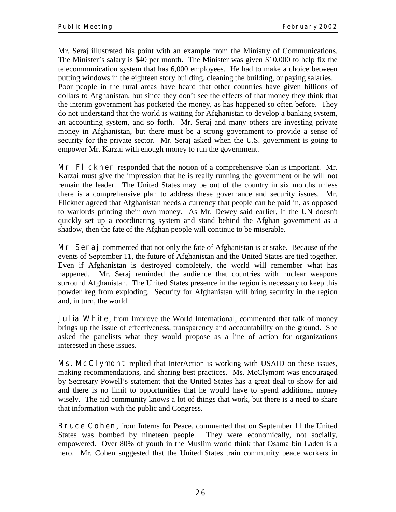Mr. Seraj illustrated his point with an example from the Ministry of Communications. The Minister's salary is \$40 per month. The Minister was given \$10,000 to help fix the telecommunication system that has 6,000 employees. He had to make a choice between putting windows in the eighteen story building, cleaning the building, or paying salaries. Poor people in the rural areas have heard that other countries have given billions of dollars to Afghanistan, but since they don't see the effects of that money they think that the interim government has pocketed the money, as has happened so often before. They do not understand that the world is waiting for Afghanistan to develop a banking system, an accounting system, and so forth. Mr. Seraj and many others are investing private money in Afghanistan, but there must be a strong government to provide a sense of security for the private sector. Mr. Seraj asked when the U.S. government is going to empower Mr. Karzai with enough money to run the government.

**Mr. Flickner** responded that the notion of a comprehensive plan is important. Mr. Karzai must give the impression that he is really running the government or he will not remain the leader. The United States may be out of the country in six months unless there is a comprehensive plan to address these governance and security issues. Mr. Flickner agreed that Afghanistan needs a currency that people can be paid in, as opposed to warlords printing their own money. As Mr. Dewey said earlier, if the UN doesn't quickly set up a coordinating system and stand behind the Afghan government as a shadow, then the fate of the Afghan people will continue to be miserable.

**Mr. Seraj** commented that not only the fate of Afghanistan is at stake. Because of the events of September 11, the future of Afghanistan and the United States are tied together. Even if Afghanistan is destroyed completely, the world will remember what has happened. Mr. Seraj reminded the audience that countries with nuclear weapons surround Afghanistan. The United States presence in the region is necessary to keep this powder keg from exploding. Security for Afghanistan will bring security in the region and, in turn, the world.

**Julia White**, from Improve the World International, commented that talk of money brings up the issue of effectiveness, transparency and accountability on the ground. She asked the panelists what they would propose as a line of action for organizations interested in these issues.

**Ms. McClymont** replied that InterAction is working with USAID on these issues, making recommendations, and sharing best practices. Ms. McClymont was encouraged by Secretary Powell's statement that the United States has a great deal to show for aid and there is no limit to opportunities that he would have to spend additional money wisely. The aid community knows a lot of things that work, but there is a need to share that information with the public and Congress.

**Bruce Cohen**, from Interns for Peace, commented that on September 11 the United States was bombed by nineteen people. They were economically, not socially, empowered. Over 80% of youth in the Muslim world think that Osama bin Laden is a hero. Mr. Cohen suggested that the United States train community peace workers in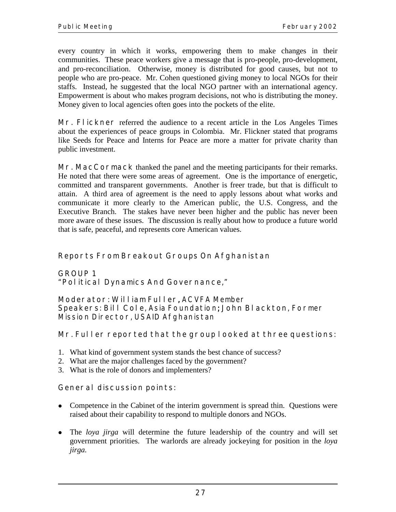every country in which it works, empowering them to make changes in their communities. These peace workers give a message that is pro-people, pro-development, and pro-reconciliation. Otherwise, money is distributed for good causes, but not to people who are pro-peace. Mr. Cohen questioned giving money to local NGOs for their staffs. Instead, he suggested that the local NGO partner with an international agency. Empowerment is about who makes program decisions, not who is distributing the money. Money given to local agencies often goes into the pockets of the elite.

**Mr. Flickner** referred the audience to a recent article in the Los Angeles Times about the experiences of peace groups in Colombia. Mr. Flickner stated that programs like Seeds for Peace and Interns for Peace are more a matter for private charity than public investment.

**Mr. MacCormack** thanked the panel and the meeting participants for their remarks. He noted that there were some areas of agreement. One is the importance of energetic, committed and transparent governments. Another is freer trade, but that is difficult to attain. A third area of agreement is the need to apply lessons about what works and communicate it more clearly to the American public, the U.S. Congress, and the Executive Branch. The stakes have never been higher and the public has never been more aware of these issues. The discussion is really about how to produce a future world that is safe, peaceful, and represents core American values.

## **Reports From Breakout Groups On Afghanistan**

**GROUP 1 "Political Dynamics And Governance,"** 

#### **Moderator: William Fuller**, ACVFA Member ,

**Speakers: Bill Cole**, Asia Foundation; **John Blackton**, Former Mission Director, USAID Afghanistan

## **Mr. Fuller reported that the group looked at three questions:**

- 1. What kind of government system stands the best chance of success?
- 2. What are the major challenges faced by the government?
- 3. What is the role of donors and implementers?

## **General discussion points:**

- Competence in the Cabinet of the interim government is spread thin. Questions were raised about their capability to respond to multiple donors and NGOs.
- ! The *loya jirga* will determine the future leadership of the country and will set government priorities. The warlords are already jockeying for position in the *loya jirga.*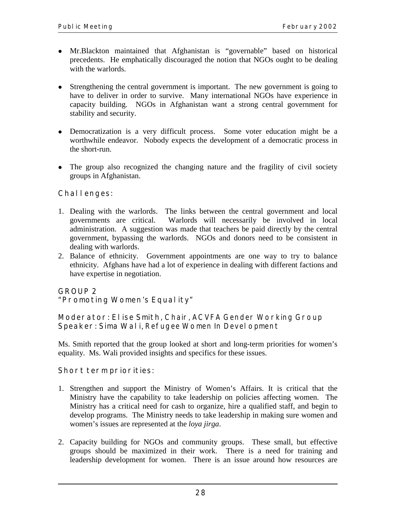- ! Mr.Blackton maintained that Afghanistan is "governable" based on historical precedents. He emphatically discouraged the notion that NGOs ought to be dealing with the warlords.
- Strengthening the central government is important. The new government is going to have to deliver in order to survive. Many international NGOs have experience in capacity building. NGOs in Afghanistan want a strong central government for stability and security.
- ! Democratization is a very difficult process. Some voter education might be a worthwhile endeavor. Nobody expects the development of a democratic process in the short-run.
- The group also recognized the changing nature and the fragility of civil society groups in Afghanistan.

## **Challenges:**

- 1. Dealing with the warlords. The links between the central government and local governments are critical. Warlords will necessarily be involved in local administration. A suggestion was made that teachers be paid directly by the central government, bypassing the warlords. NGOs and donors need to be consistent in dealing with warlords.
- 2. Balance of ethnicity. Government appointments are one way to try to balance ethnicity. Afghans have had a lot of experience in dealing with different factions and have expertise in negotiation.

## **GROUP 2**

#### **"Promoting Women's Equality"**

**Moderator: Elise Smith,** Chair, ACVFA Gender Working Group Speaker: Sima Wali, Refugee Women In Devel opment

Ms. Smith reported that the group looked at short and long-term priorities for women's equality. Ms. Wali provided insights and specifics for these issues.

## **Short term priorities:**

- 1. Strengthen and support the Ministry of Women's Affairs. It is critical that the Ministry have the capability to take leadership on policies affecting women. The Ministry has a critical need for cash to organize, hire a qualified staff, and begin to develop programs. The Ministry needs to take leadership in making sure women and women's issues are represented at the *loya jirga*.
- 2. Capacity building for NGOs and community groups. These small, but effective groups should be maximized in their work. There is a need for training and leadership development for women. There is an issue around how resources are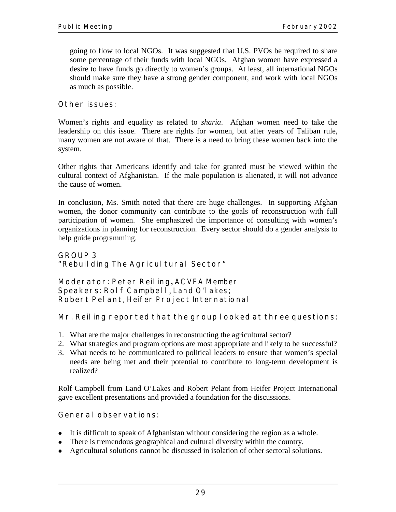going to flow to local NGOs. It was suggested that U.S. PVOs be required to share some percentage of their funds with local NGOs. Afghan women have expressed a desire to have funds go directly to women's groups. At least, all international NGOs should make sure they have a strong gender component, and work with local NGOs as much as possible.

## **Other issues:**

Women's rights and equality as related to *sharia*. Afghan women need to take the leadership on this issue. There are rights for women, but after years of Taliban rule, many women are not aware of that. There is a need to bring these women back into the system.

Other rights that Americans identify and take for granted must be viewed within the cultural context of Afghanistan. If the male population is alienated, it will not advance the cause of women.

In conclusion, Ms. Smith noted that there are huge challenges. In supporting Afghan women, the donor community can contribute to the goals of reconstruction with full participation of women. She emphasized the importance of consulting with women's organizations in planning for reconstruction. Every sector should do a gender analysis to help guide programming.

#### **GROUP 3 "Rebuilding The Agricultural Sector"**

**Moderator: Peter Reiling,** ACVFA Member **Speakers: Rolf Campbell**, Land O'lakes; **Robert Pelant**, Heifer Project International

## **Mr. Reiling reported that the group looked at three questions:**

- 1. What are the major challenges in reconstructing the agricultural sector?
- 2. What strategies and program options are most appropriate and likely to be successful?
- 3. What needs to be communicated to political leaders to ensure that women's special needs are being met and their potential to contribute to long-term development is realized?

Rolf Campbell from Land O'Lakes and Robert Pelant from Heifer Project International gave excellent presentations and provided a foundation for the discussions.

## **General observations:**

- ! It is difficult to speak of Afghanistan without considering the region as a whole.
- There is tremendous geographical and cultural diversity within the country.
- ! Agricultural solutions cannot be discussed in isolation of other sectoral solutions.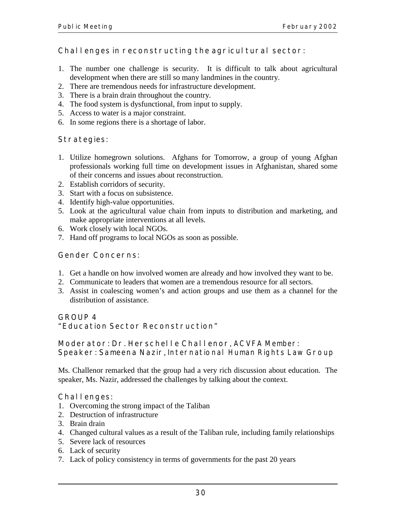## Challenges in reconstructing the agricul tural sector:

- 1. The number one challenge is security. It is difficult to talk about agricultural development when there are still so many landmines in the country.
- 2. There are tremendous needs for infrastructure development.
- 3. There is a brain drain throughout the country.
- 4. The food system is dysfunctional, from input to supply.
- 5. Access to water is a major constraint.
- 6. In some regions there is a shortage of labor.

## **Strategies:**

- 1. Utilize homegrown solutions. Afghans for Tomorrow, a group of young Afghan professionals working full time on development issues in Afghanistan, shared some of their concerns and issues about reconstruction.
- 2. Establish corridors of security.
- 3. Start with a focus on subsistence.
- 4. Identify high-value opportunities.
- 5. Look at the agricultural value chain from inputs to distribution and marketing, and make appropriate interventions at all levels.
- 6. Work closely with local NGOs.
- 7. Hand off programs to local NGOs as soon as possible.

## **Gender Concerns:**

- 1. Get a handle on how involved women are already and how involved they want to be.
- 2. Communicate to leaders that women are a tremendous resource for all sectors.
- 3. Assist in coalescing women's and action groups and use them as a channel for the distribution of assistance.

## **GROUP 4**

## **"Education Sector Reconstruction"**

**Moderator: Dr. Herschelle Challenor**, ACVFA Member: **Speaker: Sameena Nazir**, International Human Rights Law Group

Ms. Challenor remarked that the group had a very rich discussion about education. The speaker, Ms. Nazir, addressed the challenges by talking about the context.

## **Challenges:**

- 1. Overcoming the strong impact of the Taliban
- 2. Destruction of infrastructure
- 3. Brain drain
- 4. Changed cultural values as a result of the Taliban rule, including family relationships
- 5. Severe lack of resources
- 6. Lack of security
- 7. Lack of policy consistency in terms of governments for the past 20 years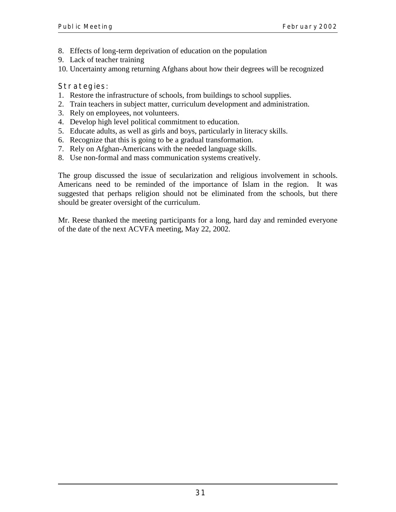- 8. Effects of long-term deprivation of education on the population
- 9. Lack of teacher training
- 10. Uncertainty among returning Afghans about how their degrees will be recognized

## **Strategies:**

- 1. Restore the infrastructure of schools, from buildings to school supplies.
- 2. Train teachers in subject matter, curriculum development and administration.
- 3. Rely on employees, not volunteers.
- 4. Develop high level political commitment to education.
- 5. Educate adults, as well as girls and boys, particularly in literacy skills.
- 6. Recognize that this is going to be a gradual transformation.
- 7. Rely on Afghan-Americans with the needed language skills.
- 8. Use non-formal and mass communication systems creatively.

The group discussed the issue of secularization and religious involvement in schools. Americans need to be reminded of the importance of Islam in the region. It was suggested that perhaps religion should not be eliminated from the schools, but there should be greater oversight of the curriculum.

Mr. Reese thanked the meeting participants for a long, hard day and reminded everyone of the date of the next ACVFA meeting, May 22, 2002.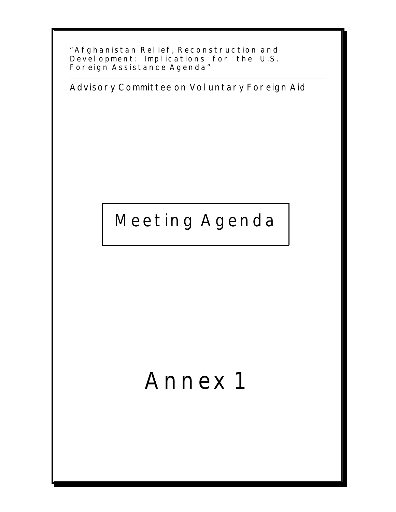**"Afghanistan Relief, Reconstruction and Development: Implications for the U.S. Foreign Assistance Agenda"**

**Advisory Committee on Voluntary Foreign Aid**

\_\_\_\_\_\_\_\_\_\_\_\_\_\_\_\_\_\_\_\_\_\_\_\_\_\_\_\_\_\_\_\_\_\_\_\_\_\_\_\_\_\_\_\_\_\_\_\_\_\_\_\_\_\_\_\_\_\_\_\_\_\_\_\_\_\_\_\_\_\_\_\_\_\_\_\_\_\_\_\_\_\_\_\_\_\_\_\_\_\_\_\_\_\_\_\_\_\_\_\_\_\_\_\_\_\_\_\_\_\_\_\_\_\_\_\_\_\_\_\_\_\_\_\_\_\_\_\_\_\_\_\_

## **Meeting Agenda**

# **Annex 1**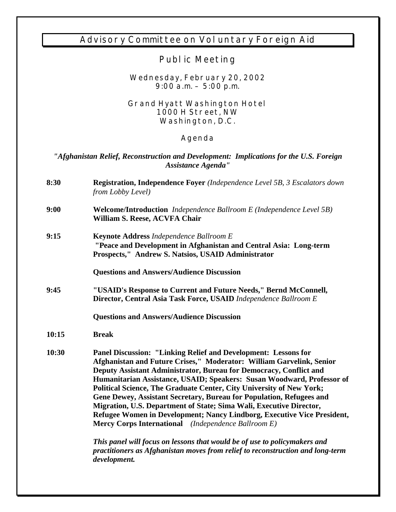## **Advisory Committee on Voluntary Foreign Aid**

## **Public Meeting**

#### **Wednesday, February 20, 2002 9:00 a.m. – 5:00 p.m.**

#### **Grand Hyatt Washington Hotel 1000 H Street, NW Washington, D.C.**

## **Agenda**

## *"Afghanistan Relief, Reconstruction and Development: Implications for the U.S. Foreign Assistance Agenda"*

| 8:30  | Registration, Independence Foyer (Independence Level 5B, 3 Escalators down<br>from Lobby Level)                                                                                                                                                                                                                                                                                                                                                                                                                                                                                                                                                 |
|-------|-------------------------------------------------------------------------------------------------------------------------------------------------------------------------------------------------------------------------------------------------------------------------------------------------------------------------------------------------------------------------------------------------------------------------------------------------------------------------------------------------------------------------------------------------------------------------------------------------------------------------------------------------|
| 9:00  | <b>Welcome/Introduction</b> Independence Ballroom E (Independence Level 5B)<br>William S. Reese, ACVFA Chair                                                                                                                                                                                                                                                                                                                                                                                                                                                                                                                                    |
| 9:15  | <b>Keynote Address Independence Ballroom E</b><br>"Peace and Development in Afghanistan and Central Asia: Long-term<br>Prospects," Andrew S. Natsios, USAID Administrator<br><b>Questions and Answers/Audience Discussion</b>                                                                                                                                                                                                                                                                                                                                                                                                                   |
|       |                                                                                                                                                                                                                                                                                                                                                                                                                                                                                                                                                                                                                                                 |
| 9:45  | "USAID's Response to Current and Future Needs," Bernd McConnell,<br>Director, Central Asia Task Force, USAID Independence Ballroom E                                                                                                                                                                                                                                                                                                                                                                                                                                                                                                            |
|       | <b>Questions and Answers/Audience Discussion</b>                                                                                                                                                                                                                                                                                                                                                                                                                                                                                                                                                                                                |
| 10:15 | <b>Break</b>                                                                                                                                                                                                                                                                                                                                                                                                                                                                                                                                                                                                                                    |
| 10:30 | Panel Discussion: "Linking Relief and Development: Lessons for<br>Afghanistan and Future Crises," Moderator: William Garvelink, Senior<br>Deputy Assistant Administrator, Bureau for Democracy, Conflict and<br>Humanitarian Assistance, USAID; Speakers: Susan Woodward, Professor of<br>Political Science, The Graduate Center, City University of New York;<br>Gene Dewey, Assistant Secretary, Bureau for Population, Refugees and<br>Migration, U.S. Department of State; Sima Wali, Executive Director,<br>Refugee Women in Development; Nancy Lindborg, Executive Vice President,<br>Mercy Corps International (Independence Ballroom E) |
|       | This panel will focus on lessons that would be of use to policymakers and<br>practitioners as Afghanistan moves from relief to reconstruction and long-term<br>development.                                                                                                                                                                                                                                                                                                                                                                                                                                                                     |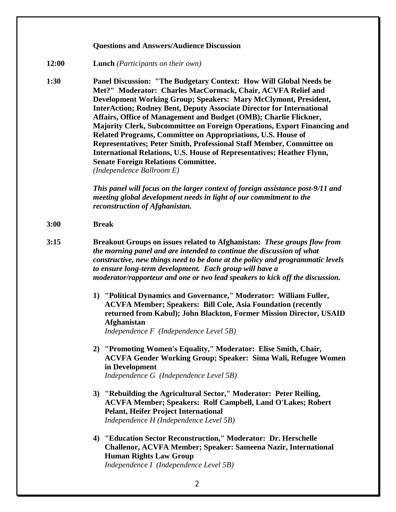#### **Questions and Answers/Audience Discussion**

- **12:00 Lunch** *(Participants on their own)*
- **1:30 Panel Discussion: "The Budgetary Context: How Will Global Needs be Met?" Moderator: Charles MacCormack, Chair, ACVFA Relief and Development Working Group; Speakers: Mary McClymont, President, InterAction; Rodney Bent, Deputy Associate Director for International Affairs, Office of Management and Budget (OMB); Charlie Flickner, Majority Clerk, Subcommittee on Foreign Operations, Export Financing and Related Programs, Committee on Appropriations, U.S. House of Representatives; Peter Smith, Professional Staff Member, Committee on International Relations, U.S. House of Representatives; Heather Flynn, Senate Foreign Relations Committee.**  *(Independence Ballroom E)*

*This panel will focus on the larger context of foreign assistance post-9/11 and meeting global development needs in light of our commitment to the reconstruction of Afghanistan.* 

- **3:00 Break**
- **3:15 Breakout Groups on issues related to Afghanistan:** *These groups flow from the morning panel and are intended to continue the discussion of what constructive, new things need to be done at the policy and programmatic levels to ensure long-term development. Each group will have a moderator/rapporteur and one or two lead speakers to kick off the discussion.* 
	- **1) "Political Dynamics and Governance," Moderator: William Fuller, ACVFA Member; Speakers: Bill Cole, Asia Foundation (recently returned from Kabul); John Blackton, Former Mission Director, USAID Afghanistan**

*Independence F (Independence Level 5B)*

- **2) "Promoting Women's Equality," Moderator: Elise Smith, Chair, ACVFA Gender Working Group; Speaker: Sima Wali, Refugee Women in Development**  *Independence G (Independence Level 5B)*
- **3) "Rebuilding the Agricultural Sector," Moderator: Peter Reiling, ACVFA Member; Speakers: Rolf Campbell, Land O'Lakes; Robert Pelant, Heifer Project International** *Independence H (Independence Level 5B)*
- **4) "Education Sector Reconstruction," Moderator: Dr. Herschelle Challenor, ACVFA Member; Speaker: Sameena Nazir, International Human Rights Law Group** *Independence I (Independence Level 5B)*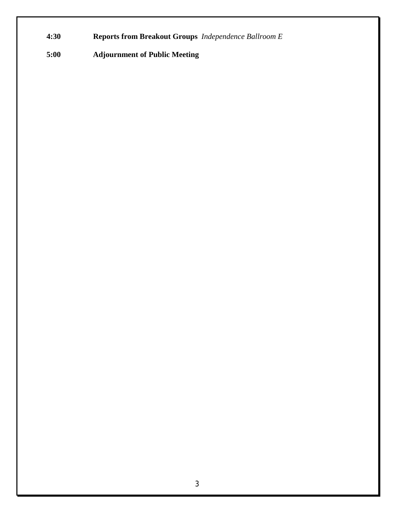- **4:30 Reports from Breakout Groups** *Independence Ballroom E*
- **5:00 Adjournment of Public Meeting**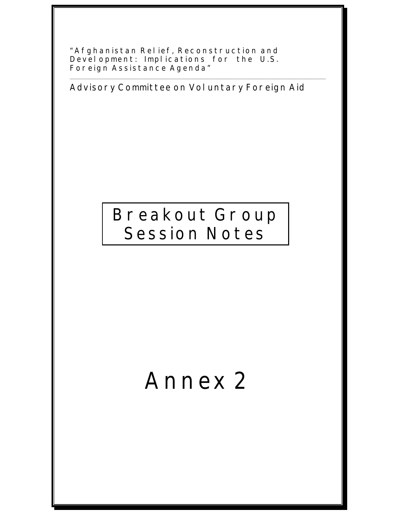**"Afghanistan Relief, Reconstruction and Development: Implications for the U.S. Foreign Assistance Agenda"** 

**Advisory Committee on Voluntary Foreign Aid** 

\_\_\_\_\_\_\_\_\_\_\_\_\_\_\_\_\_\_\_\_\_\_\_\_\_\_\_\_\_\_\_\_\_\_\_\_\_\_\_\_\_\_\_\_\_\_\_\_\_\_\_\_\_\_\_\_\_\_\_\_\_\_\_\_\_\_\_\_\_\_\_\_\_\_\_\_\_\_\_\_\_\_\_\_\_\_\_\_\_\_\_\_\_\_\_\_\_\_\_\_\_\_\_\_\_\_\_\_\_\_\_\_\_\_\_\_\_\_\_\_\_\_\_\_\_\_\_\_\_\_\_\_

## **Breakout Group Session Notes**

# **Annex 2**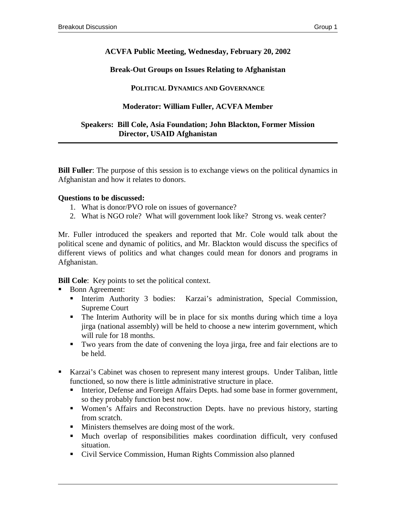## **ACVFA Public Meeting, Wednesday, February 20, 2002**

## **Break-Out Groups on Issues Relating to Afghanistan**

#### **POLITICAL DYNAMICS AND GOVERNANCE**

## **Moderator: William Fuller, ACVFA Member**

#### **Speakers: Bill Cole, Asia Foundation; John Blackton, Former Mission Director, USAID Afghanistan**

**Bill Fuller**: The purpose of this session is to exchange views on the political dynamics in Afghanistan and how it relates to donors.

#### **Questions to be discussed:**

- 1. What is donor/PVO role on issues of governance?
- 2. What is NGO role? What will government look like? Strong vs. weak center?

Mr. Fuller introduced the speakers and reported that Mr. Cole would talk about the political scene and dynamic of politics, and Mr. Blackton would discuss the specifics of different views of politics and what changes could mean for donors and programs in Afghanistan.

**Bill Cole**: Key points to set the political context.

- Bonn Agreement:
	- ! Interim Authority 3 bodies: Karzai's administration, Special Commission, Supreme Court
	- ! The Interim Authority will be in place for six months during which time a loya jirga (national assembly) will be held to choose a new interim government, which will rule for 18 months.
	- ! Two years from the date of convening the loya jirga, free and fair elections are to be held.
- ! Karzai's Cabinet was chosen to represent many interest groups. Under Taliban, little functioned, so now there is little administrative structure in place.
	- ! Interior, Defense and Foreign Affairs Depts. had some base in former government, so they probably function best now.
	- ! Women's Affairs and Reconstruction Depts. have no previous history, starting from scratch.
	- **I** Ministers themselves are doing most of the work.
	- ! Much overlap of responsibilities makes coordination difficult, very confused situation.
	- ! Civil Service Commission, Human Rights Commission also planned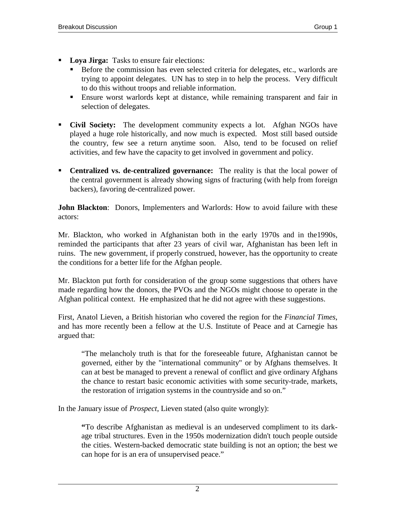- ! **Loya Jirga:** Tasks to ensure fair elections:
	- ! Before the commission has even selected criteria for delegates, etc., warlords are trying to appoint delegates. UN has to step in to help the process. Very difficult to do this without troops and reliable information.
	- ! Ensure worst warlords kept at distance, while remaining transparent and fair in selection of delegates.
- ! **Civil Society:** The development community expects a lot. Afghan NGOs have played a huge role historically, and now much is expected. Most still based outside the country, few see a return anytime soon. Also, tend to be focused on relief activities, and few have the capacity to get involved in government and policy.
- ! **Centralized vs. de-centralized governance:** The reality is that the local power of the central government is already showing signs of fracturing (with help from foreign backers), favoring de-centralized power.

**John Blackton**: Donors, Implementers and Warlords: How to avoid failure with these actors:

Mr. Blackton, who worked in Afghanistan both in the early 1970s and in the1990s, reminded the participants that after 23 years of civil war, Afghanistan has been left in ruins. The new government, if properly construed, however, has the opportunity to create the conditions for a better life for the Afghan people.

Mr. Blackton put forth for consideration of the group some suggestions that others have made regarding how the donors, the PVOs and the NGOs might choose to operate in the Afghan political context. He emphasized that he did not agree with these suggestions.

First, Anatol Lieven, a British historian who covered the region for the *Financial Times*, and has more recently been a fellow at the U.S. Institute of Peace and at Carnegie has argued that:

"The melancholy truth is that for the foreseeable future, Afghanistan cannot be governed, either by the "international community" or by Afghans themselves. It can at best be managed to prevent a renewal of conflict and give ordinary Afghans the chance to restart basic economic activities with some security-trade, markets, the restoration of irrigation systems in the countryside and so on."

In the January issue of *Prospect*, Lieven stated (also quite wrongly):

**"**To describe Afghanistan as medieval is an undeserved compliment to its darkage tribal structures. Even in the 1950s modernization didn't touch people outside the cities. Western-backed democratic state building is not an option; the best we can hope for is an era of unsupervised peace."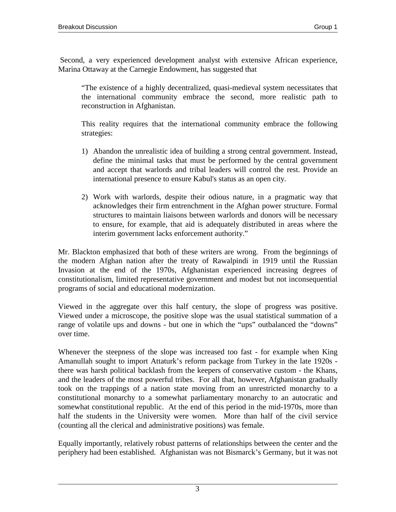Second, a very experienced development analyst with extensive African experience, Marina Ottaway at the Carnegie Endowment, has suggested that

"The existence of a highly decentralized, quasi-medieval system necessitates that the international community embrace the second, more realistic path to reconstruction in Afghanistan.

This reality requires that the international community embrace the following strategies:

- 1) Abandon the unrealistic idea of building a strong central government. Instead, define the minimal tasks that must be performed by the central government and accept that warlords and tribal leaders will control the rest. Provide an international presence to ensure Kabul's status as an open city.
- 2) Work with warlords, despite their odious nature, in a pragmatic way that acknowledges their firm entrenchment in the Afghan power structure. Formal structures to maintain liaisons between warlords and donors will be necessary to ensure, for example, that aid is adequately distributed in areas where the interim government lacks enforcement authority."

Mr. Blackton emphasized that both of these writers are wrong. From the beginnings of the modern Afghan nation after the treaty of Rawalpindi in 1919 until the Russian Invasion at the end of the 1970s, Afghanistan experienced increasing degrees of constitutionalism, limited representative government and modest but not inconsequential programs of social and educational modernization.

Viewed in the aggregate over this half century, the slope of progress was positive. Viewed under a microscope, the positive slope was the usual statistical summation of a range of volatile ups and downs - but one in which the "ups" outbalanced the "downs" over time.

Whenever the steepness of the slope was increased too fast - for example when King Amanullah sought to import Attaturk's reform package from Turkey in the late 1920s there was harsh political backlash from the keepers of conservative custom - the Khans, and the leaders of the most powerful tribes. For all that, however, Afghanistan gradually took on the trappings of a nation state moving from an unrestricted monarchy to a constitutional monarchy to a somewhat parliamentary monarchy to an autocratic and somewhat constitutional republic. At the end of this period in the mid-1970s, more than half the students in the University were women. More than half of the civil service (counting all the clerical and administrative positions) was female.

Equally importantly, relatively robust patterns of relationships between the center and the periphery had been established. Afghanistan was not Bismarck's Germany, but it was not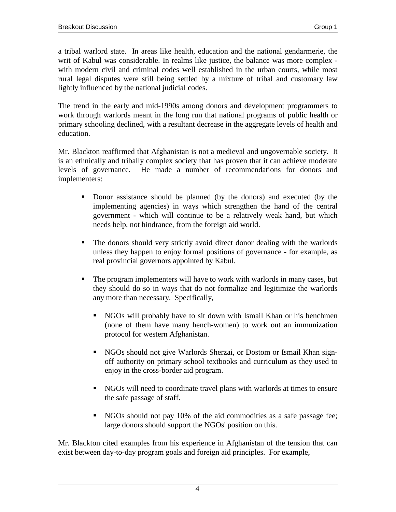a tribal warlord state. In areas like health, education and the national gendarmerie, the writ of Kabul was considerable. In realms like justice, the balance was more complex with modern civil and criminal codes well established in the urban courts, while most rural legal disputes were still being settled by a mixture of tribal and customary law lightly influenced by the national judicial codes.

The trend in the early and mid-1990s among donors and development programmers to work through warlords meant in the long run that national programs of public health or primary schooling declined, with a resultant decrease in the aggregate levels of health and education.

Mr. Blackton reaffirmed that Afghanistan is not a medieval and ungovernable society. It is an ethnically and tribally complex society that has proven that it can achieve moderate levels of governance. He made a number of recommendations for donors and implementers:

- ! Donor assistance should be planned (by the donors) and executed (by the implementing agencies) in ways which strengthen the hand of the central government - which will continue to be a relatively weak hand, but which needs help, not hindrance, from the foreign aid world.
- ! The donors should very strictly avoid direct donor dealing with the warlords unless they happen to enjoy formal positions of governance - for example, as real provincial governors appointed by Kabul.
- ! The program implementers will have to work with warlords in many cases, but they should do so in ways that do not formalize and legitimize the warlords any more than necessary. Specifically,
	- ! NGOs will probably have to sit down with Ismail Khan or his henchmen (none of them have many hench-women) to work out an immunization protocol for western Afghanistan.
	- ! NGOs should not give Warlords Sherzai, or Dostom or Ismail Khan signoff authority on primary school textbooks and curriculum as they used to enjoy in the cross-border aid program.
	- ! NGOs will need to coordinate travel plans with warlords at times to ensure the safe passage of staff.
	- ! NGOs should not pay 10% of the aid commodities as a safe passage fee; large donors should support the NGOs' position on this.

Mr. Blackton cited examples from his experience in Afghanistan of the tension that can exist between day-to-day program goals and foreign aid principles. For example,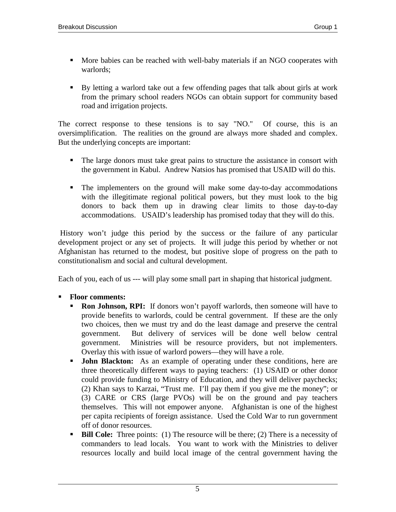- ! More babies can be reached with well-baby materials if an NGO cooperates with warlords;
- ! By letting a warlord take out a few offending pages that talk about girls at work from the primary school readers NGOs can obtain support for community based road and irrigation projects.

The correct response to these tensions is to say "NO." Of course, this is an oversimplification. The realities on the ground are always more shaded and complex. But the underlying concepts are important:

- ! The large donors must take great pains to structure the assistance in consort with the government in Kabul. Andrew Natsios has promised that USAID will do this.
- ! The implementers on the ground will make some day-to-day accommodations with the illegitimate regional political powers, but they must look to the big donors to back them up in drawing clear limits to those day-to-day accommodations. USAID's leadership has promised today that they will do this.

 History won't judge this period by the success or the failure of any particular development project or any set of projects. It will judge this period by whether or not Afghanistan has returned to the modest, but positive slope of progress on the path to constitutionalism and social and cultural development.

Each of you, each of us --- will play some small part in shaping that historical judgment.

## ! **Floor comments:**

- **Ron Johnson, RPI:** If donors won't payoff warlords, then someone will have to provide benefits to warlords, could be central government. If these are the only two choices, then we must try and do the least damage and preserve the central government. But delivery of services will be done well below central government. Ministries will be resource providers, but not implementers. Overlay this with issue of warlord powers—they will have a role.
- **Iohn Blackton:** As an example of operating under these conditions, here are three theoretically different ways to paying teachers: (1) USAID or other donor could provide funding to Ministry of Education, and they will deliver paychecks; (2) Khan says to Karzai, "Trust me. I'll pay them if you give me the money"; or (3) CARE or CRS (large PVOs) will be on the ground and pay teachers themselves. This will not empower anyone. Afghanistan is one of the highest per capita recipients of foreign assistance. Used the Cold War to run government off of donor resources.
- **Bill Cole:** Three points: (1) The resource will be there; (2) There is a necessity of commanders to lead locals. You want to work with the Ministries to deliver resources locally and build local image of the central government having the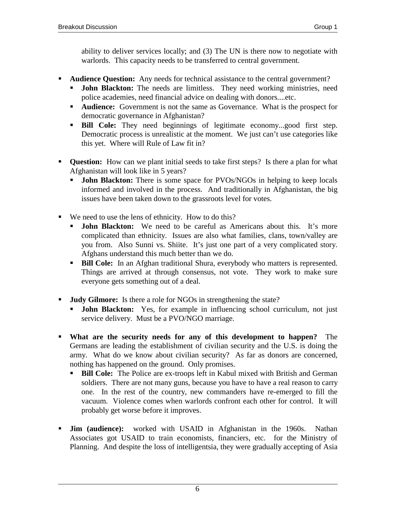ability to deliver services locally; and (3) The UN is there now to negotiate with warlords. This capacity needs to be transferred to central government.

- ! **Audience Question:** Any needs for technical assistance to the central government?
	- **John Blackton:** The needs are limitless. They need working ministries, need police academies, need financial advice on dealing with donors....etc.
	- **Audience:** Government is not the same as Governance. What is the prospect for democratic governance in Afghanistan?
	- ! **Bill Cole:** They need beginnings of legitimate economy...good first step. Democratic process is unrealistic at the moment. We just can't use categories like this yet. Where will Rule of Law fit in?
- ! **Question:** How can we plant initial seeds to take first steps? Is there a plan for what Afghanistan will look like in 5 years?
	- **John Blackton:** There is some space for PVOs/NGOs in helping to keep locals informed and involved in the process. And traditionally in Afghanistan, the big issues have been taken down to the grassroots level for votes.
- ! We need to use the lens of ethnicity. How to do this?
	- **John Blackton:** We need to be careful as Americans about this. It's more complicated than ethnicity. Issues are also what families, clans, town/valley are you from. Also Sunni vs. Shiite. It's just one part of a very complicated story. Afghans understand this much better than we do.
	- ! **Bill Cole:** In an Afghan traditional Shura, everybody who matters is represented. Things are arrived at through consensus, not vote. They work to make sure everyone gets something out of a deal.
- ! **Judy Gilmore:** Is there a role for NGOs in strengthening the state?
	- **John Blackton:** Yes, for example in influencing school curriculum, not just service delivery. Must be a PVO/NGO marriage.
- ! **What are the security needs for any of this development to happen?** The Germans are leading the establishment of civilian security and the U.S. is doing the army. What do we know about civilian security? As far as donors are concerned, nothing has happened on the ground. Only promises.
	- ! **Bill Cole:** The Police are ex-troops left in Kabul mixed with British and German soldiers. There are not many guns, because you have to have a real reason to carry one. In the rest of the country, new commanders have re-emerged to fill the vacuum. Violence comes when warlords confront each other for control. It will probably get worse before it improves.
- ! **Jim (audience):** worked with USAID in Afghanistan in the 1960s. Nathan Associates got USAID to train economists, financiers, etc. for the Ministry of Planning. And despite the loss of intelligentsia, they were gradually accepting of Asia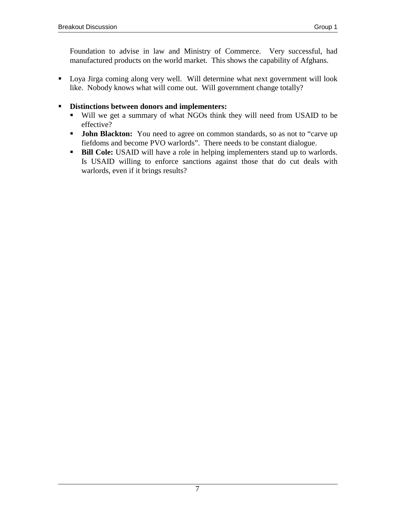Foundation to advise in law and Ministry of Commerce. Very successful, had manufactured products on the world market. This shows the capability of Afghans.

! Loya Jirga coming along very well. Will determine what next government will look like. Nobody knows what will come out. Will government change totally?

## ! **Distinctions between donors and implementers:**

- ! Will we get a summary of what NGOs think they will need from USAID to be effective?
- **John Blackton:** You need to agree on common standards, so as not to "carve up fiefdoms and become PVO warlords". There needs to be constant dialogue.
- **Bill Cole:** USAID will have a role in helping implementers stand up to warlords. Is USAID willing to enforce sanctions against those that do cut deals with warlords, even if it brings results?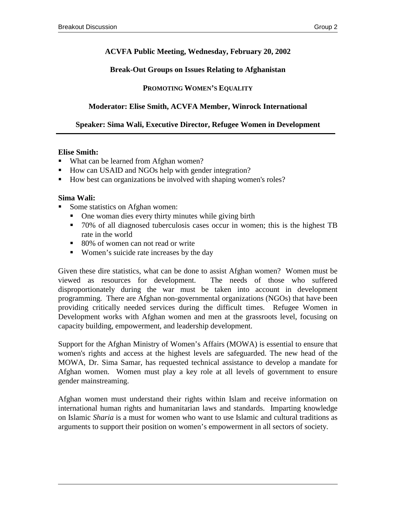## **ACVFA Public Meeting, Wednesday, February 20, 2002**

#### **Break-Out Groups on Issues Relating to Afghanistan**

## **PROMOTING WOMEN'S EQUALITY**

## **Moderator: Elise Smith, ACVFA Member, Winrock International**

## **Speaker: Sima Wali, Executive Director, Refugee Women in Development**

#### **Elise Smith:**

- ! What can be learned from Afghan women?
- ! How can USAID and NGOs help with gender integration?
- ! How best can organizations be involved with shaping women's roles?

#### **Sima Wali:**

- Some statistics on Afghan women:
	- ! One woman dies every thirty minutes while giving birth
	- ! 70% of all diagnosed tuberculosis cases occur in women; this is the highest TB rate in the world
	- 80% of women can not read or write
	- ! Women's suicide rate increases by the day

Given these dire statistics, what can be done to assist Afghan women? Women must be viewed as resources for development. The needs of those who suffered disproportionately during the war must be taken into account in development programming. There are Afghan non-governmental organizations (NGOs) that have been providing critically needed services during the difficult times. Refugee Women in Development works with Afghan women and men at the grassroots level, focusing on capacity building, empowerment, and leadership development.

Support for the Afghan Ministry of Women's Affairs (MOWA) is essential to ensure that women's rights and access at the highest levels are safeguarded. The new head of the MOWA, Dr. Sima Samar, has requested technical assistance to develop a mandate for Afghan women. Women must play a key role at all levels of government to ensure gender mainstreaming.

Afghan women must understand their rights within Islam and receive information on international human rights and humanitarian laws and standards. Imparting knowledge on Islamic *Sharia* is a must for women who want to use Islamic and cultural traditions as arguments to support their position on women's empowerment in all sectors of society.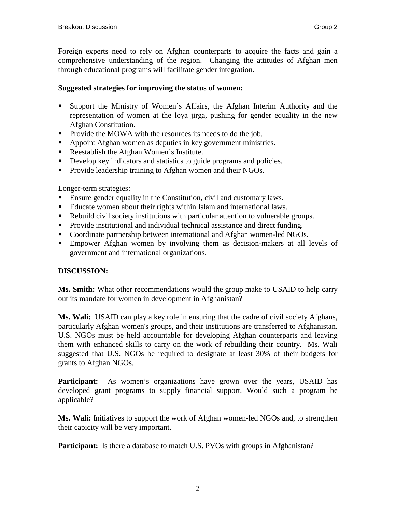Foreign experts need to rely on Afghan counterparts to acquire the facts and gain a comprehensive understanding of the region. Changing the attitudes of Afghan men through educational programs will facilitate gender integration.

## **Suggested strategies for improving the status of women:**

- ! Support the Ministry of Women's Affairs, the Afghan Interim Authority and the representation of women at the loya jirga, pushing for gender equality in the new Afghan Constitution.
- ! Provide the MOWA with the resources its needs to do the job.
- ! Appoint Afghan women as deputies in key government ministries.
- ! Reestablish the Afghan Women's Institute.
- ! Develop key indicators and statistics to guide programs and policies.
- **•** Provide leadership training to Afghan women and their NGOs.

Longer-term strategies:

- ! Ensure gender equality in the Constitution, civil and customary laws.
- ! Educate women about their rights within Islam and international laws.
- ! Rebuild civil society institutions with particular attention to vulnerable groups.
- ! Provide institutional and individual technical assistance and direct funding.
- **Coordinate partnership between international and Afghan women-led NGOs.**
- ! Empower Afghan women by involving them as decision-makers at all levels of government and international organizations.

## **DISCUSSION:**

**Ms. Smith:** What other recommendations would the group make to USAID to help carry out its mandate for women in development in Afghanistan?

**Ms. Wali:** USAID can play a key role in ensuring that the cadre of civil society Afghans, particularly Afghan women's groups, and their institutions are transferred to Afghanistan. U.S. NGOs must be held accountable for developing Afghan counterparts and leaving them with enhanced skills to carry on the work of rebuilding their country. Ms. Wali suggested that U.S. NGOs be required to designate at least 30% of their budgets for grants to Afghan NGOs.

**Participant:** As women's organizations have grown over the years, USAID has developed grant programs to supply financial support. Would such a program be applicable?

**Ms. Wali:** Initiatives to support the work of Afghan women-led NGOs and, to strengthen their capicity will be very important.

Participant: Is there a database to match U.S. PVOs with groups in Afghanistan?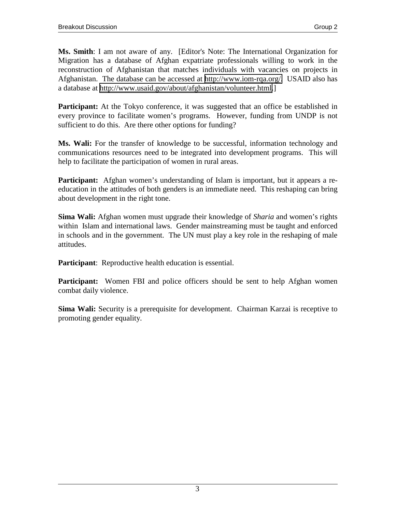**Ms. Smith**: I am not aware of any. [Editor's Note: The International Organization for Migration has a database of Afghan expatriate professionals willing to work in the reconstruction of Afghanistan that matches individuals with vacancies on projects in Afghanistan. The database can be accessed at [http://www.iom-rqa.org/.](http://www.iom-rqa.org/) USAID also has a database at [http://www.usaid.gov/about/afghanistan/volunteer.html.](http://www.usaid.gov/about/afghanistan/volunteer.html)]

**Participant:** At the Tokyo conference, it was suggested that an office be established in every province to facilitate women's programs. However, funding from UNDP is not sufficient to do this. Are there other options for funding?

**Ms. Wali:** For the transfer of knowledge to be successful, information technology and communications resources need to be integrated into development programs. This will help to facilitate the participation of women in rural areas.

**Participant:** Afghan women's understanding of Islam is important, but it appears a reeducation in the attitudes of both genders is an immediate need. This reshaping can bring about development in the right tone.

**Sima Wali:** Afghan women must upgrade their knowledge of *Sharia* and women's rights within Islam and international laws. Gender mainstreaming must be taught and enforced in schools and in the government. The UN must play a key role in the reshaping of male attitudes.

**Participant**: Reproductive health education is essential.

**Participant:** Women FBI and police officers should be sent to help Afghan women combat daily violence.

**Sima Wali:** Security is a prerequisite for development. Chairman Karzai is receptive to promoting gender equality.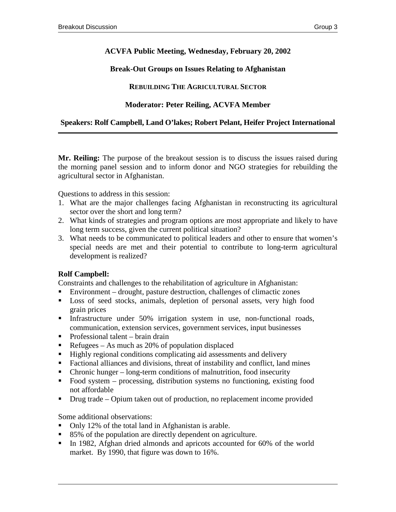## **ACVFA Public Meeting, Wednesday, February 20, 2002**

## **Break-Out Groups on Issues Relating to Afghanistan**

## **REBUILDING THE AGRICULTURAL SECTOR**

## **Moderator: Peter Reiling, ACVFA Member**

## **Speakers: Rolf Campbell, Land O'lakes; Robert Pelant, Heifer Project International**

**Mr. Reiling:** The purpose of the breakout session is to discuss the issues raised during the morning panel session and to inform donor and NGO strategies for rebuilding the agricultural sector in Afghanistan.

Questions to address in this session:

- 1. What are the major challenges facing Afghanistan in reconstructing its agricultural sector over the short and long term?
- 2. What kinds of strategies and program options are most appropriate and likely to have long term success, given the current political situation?
- 3. What needs to be communicated to political leaders and other to ensure that women's special needs are met and their potential to contribute to long-term agricultural development is realized?

## **Rolf Campbell:**

Constraints and challenges to the rehabilitation of agriculture in Afghanistan:

- ! Environment drought, pasture destruction, challenges of climactic zones
- ! Loss of seed stocks, animals, depletion of personal assets, very high food grain prices
- ! Infrastructure under 50% irrigation system in use, non-functional roads, communication, extension services, government services, input businesses
- ! Professional talent brain drain
- Refugees As much as  $20\%$  of population displaced
- ! Highly regional conditions complicating aid assessments and delivery
- ! Factional alliances and divisions, threat of instability and conflict, land mines
- ! Chronic hunger long-term conditions of malnutrition, food insecurity
- ! Food system processing, distribution systems no functioning, existing food not affordable
- ! Drug trade Opium taken out of production, no replacement income provided

Some additional observations:

- ! Only 12% of the total land in Afghanistan is arable.
- 85% of the population are directly dependent on agriculture.
- In 1982, Afghan dried almonds and apricots accounted for 60% of the world market. By 1990, that figure was down to 16%.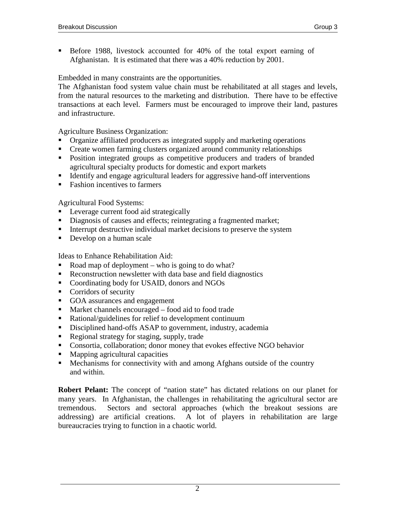! Before 1988, livestock accounted for 40% of the total export earning of Afghanistan. It is estimated that there was a 40% reduction by 2001.

## Embedded in many constraints are the opportunities.

The Afghanistan food system value chain must be rehabilitated at all stages and levels, from the natural resources to the marketing and distribution. There have to be effective transactions at each level. Farmers must be encouraged to improve their land, pastures and infrastructure.

Agriculture Business Organization:

- ! Organize affiliated producers as integrated supply and marketing operations
- ! Create women farming clusters organized around community relationships
- ! Position integrated groups as competitive producers and traders of branded agricultural specialty products for domestic and export markets
- ! Identify and engage agricultural leaders for aggressive hand-off interventions
- Fashion incentives to farmers

Agricultural Food Systems:

- Leverage current food aid strategically
- ! Diagnosis of causes and effects; reintegrating a fragmented market;
- ! Interrupt destructive individual market decisions to preserve the system
- **•** Develop on a human scale

Ideas to Enhance Rehabilitation Aid:

- Road map of deployment who is going to do what?
- ! Reconstruction newsletter with data base and field diagnostics
- ! Coordinating body for USAID, donors and NGOs
- Corridors of security
- ! GOA assurances and engagement
- ! Market channels encouraged food aid to food trade
- ! Rational/guidelines for relief to development continuum
- ! Disciplined hand-offs ASAP to government, industry, academia
- ! Regional strategy for staging, supply, trade
- ! Consortia, collaboration; donor money that evokes effective NGO behavior
- ! Mapping agricultural capacities
- ! Mechanisms for connectivity with and among Afghans outside of the country and within.

**Robert Pelant:** The concept of "nation state" has dictated relations on our planet for many years. In Afghanistan, the challenges in rehabilitating the agricultural sector are tremendous. Sectors and sectoral approaches (which the breakout sessions are addressing) are artificial creations. A lot of players in rehabilitation are large bureaucracies trying to function in a chaotic world.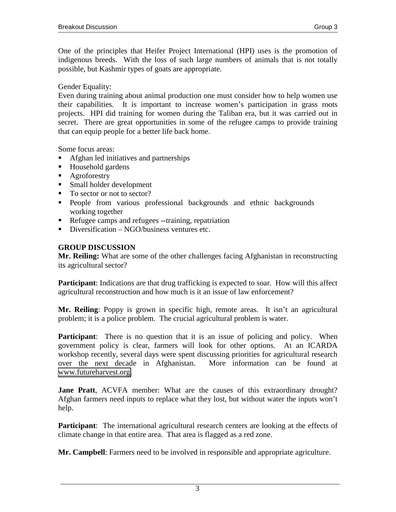One of the principles that Heifer Project International (HPI) uses is the promotion of indigenous breeds. With the loss of such large numbers of animals that is not totally possible, but Kashmir types of goats are appropriate.

Gender Equality:

Even during training about animal production one must consider how to help women use their capabilities. It is important to increase women's participation in grass roots projects. HPI did training for women during the Taliban era, but it was carried out in secret. There are great opportunities in some of the refugee camps to provide training that can equip people for a better life back home.

Some focus areas:

- ! Afghan led initiatives and partnerships
- Household gardens
- **EXECUTE:** Agroforestry
- ! Small holder development
- To sector or not to sector?
- ! People from various professional backgrounds and ethnic backgrounds working together
- ! Refugee camps and refugees --training, repatriation
- $\blacksquare$  Diversification NGO/business ventures etc.

## **GROUP DISCUSSION**

**Mr. Reiling:** What are some of the other challenges facing Afghanistan in reconstructing its agricultural sector?

**Participant**: Indications are that drug trafficking is expected to soar. How will this affect agricultural reconstruction and how much is it an issue of law enforcement?

**Mr. Reiling**: Poppy is grown in specific high, remote areas. It isn't an agricultural problem; it is a police problem. The crucial agricultural problem is water.

**Participant:** There is no question that it is an issue of policing and policy. When government policy is clear, farmers will look for other options. At an ICARDA workshop recently, several days were spent discussing priorities for agricultural research over the next decade in Afghanistan. More information can be found at [www.futureharvest.org.](http://www.futureharvest..org/)

**Jane Pratt**, ACVFA member: What are the causes of this extraordinary drought? Afghan farmers need inputs to replace what they lost, but without water the inputs won't help.

**Participant:** The international agricultural research centers are looking at the effects of climate change in that entire area. That area is flagged as a red zone.

**Mr. Campbell**: Farmers need to be involved in responsible and appropriate agriculture.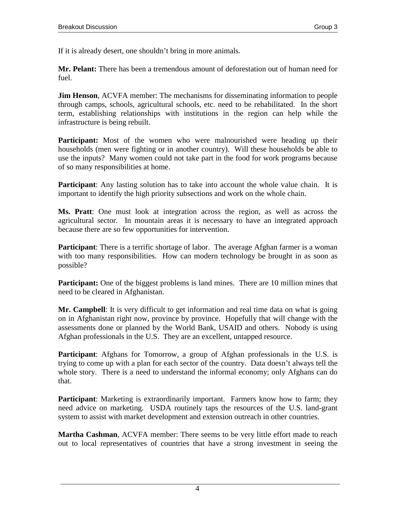If it is already desert, one shouldn't bring in more animals.

**Mr. Pelant:** There has been a tremendous amount of deforestation out of human need for fuel.

**Jim Henson**, ACVFA member: The mechanisms for disseminating information to people through camps, schools, agricultural schools, etc. need to be rehabilitated. In the short term, establishing relationships with institutions in the region can help while the infrastructure is being rebuilt.

**Participant:** Most of the women who were malnourished were heading up their households (men were fighting or in another country). Will these households be able to use the inputs? Many women could not take part in the food for work programs because of so many responsibilities at home.

**Participant:** Any lasting solution has to take into account the whole value chain. It is important to identify the high priority subsections and work on the whole chain.

**Ms. Pratt**: One must look at integration across the region, as well as across the agricultural sector. In mountain areas it is necessary to have an integrated approach because there are so few opportunities for intervention.

**Participant**: There is a terrific shortage of labor. The average Afghan farmer is a woman with too many responsibilities. How can modern technology be brought in as soon as possible?

**Participant:** One of the biggest problems is land mines. There are 10 million mines that need to be cleared in Afghanistan.

**Mr. Campbell**: It is very difficult to get information and real time data on what is going on in Afghanistan right now, province by province. Hopefully that will change with the assessments done or planned by the World Bank, USAID and others. Nobody is using Afghan professionals in the U.S. They are an excellent, untapped resource.

**Participant**: Afghans for Tomorrow, a group of Afghan professionals in the U.S. is trying to come up with a plan for each sector of the country. Data doesn't always tell the whole story. There is a need to understand the informal economy; only Afghans can do that.

**Participant**: Marketing is extraordinarily important. Farmers know how to farm; they need advice on marketing. USDA routinely taps the resources of the U.S. land-grant system to assist with market development and extension outreach in other countries.

**Martha Cashman**, ACVFA member: There seems to be very little effort made to reach out to local representatives of countries that have a strong investment in seeing the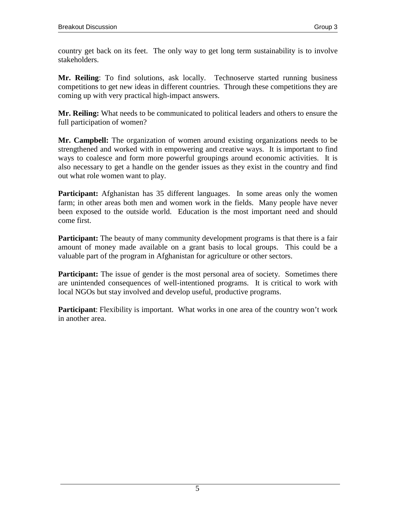country get back on its feet. The only way to get long term sustainability is to involve stakeholders.

**Mr. Reiling**: To find solutions, ask locally. Technoserve started running business competitions to get new ideas in different countries. Through these competitions they are coming up with very practical high-impact answers.

**Mr. Reiling:** What needs to be communicated to political leaders and others to ensure the full participation of women?

**Mr. Campbell:** The organization of women around existing organizations needs to be strengthened and worked with in empowering and creative ways. It is important to find ways to coalesce and form more powerful groupings around economic activities. It is also necessary to get a handle on the gender issues as they exist in the country and find out what role women want to play.

**Participant:** Afghanistan has 35 different languages. In some areas only the women farm; in other areas both men and women work in the fields. Many people have never been exposed to the outside world. Education is the most important need and should come first.

**Participant:** The beauty of many community development programs is that there is a fair amount of money made available on a grant basis to local groups. This could be a valuable part of the program in Afghanistan for agriculture or other sectors.

**Participant:** The issue of gender is the most personal area of society. Sometimes there are unintended consequences of well-intentioned programs. It is critical to work with local NGOs but stay involved and develop useful, productive programs.

**Participant**: Flexibility is important. What works in one area of the country won't work in another area.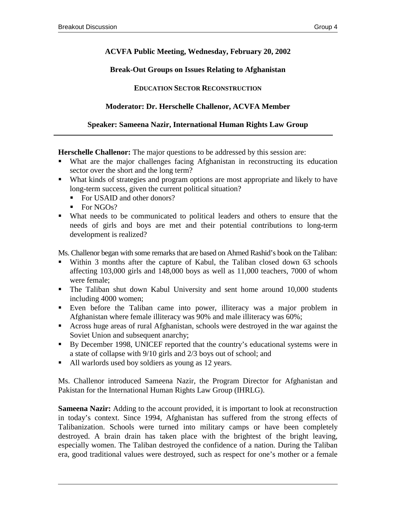## **ACVFA Public Meeting, Wednesday, February 20, 2002**

## **Break-Out Groups on Issues Relating to Afghanistan**

## **EDUCATION SECTOR RECONSTRUCTION**

## **Moderator: Dr. Herschelle Challenor, ACVFA Member**

#### **Speaker: Sameena Nazir, International Human Rights Law Group**

**Herschelle Challenor:** The major questions to be addressed by this session are:

- ! What are the major challenges facing Afghanistan in reconstructing its education sector over the short and the long term?
- ! What kinds of strategies and program options are most appropriate and likely to have long-term success, given the current political situation?
	- For USAID and other donors?
	- $\blacksquare$  For NGOs?
- ! What needs to be communicated to political leaders and others to ensure that the needs of girls and boys are met and their potential contributions to long-term development is realized?

Ms. Challenor began with some remarks that are based on Ahmed Rashid's book on the Taliban:

- ! Within 3 months after the capture of Kabul, the Taliban closed down 63 schools affecting 103,000 girls and 148,000 boys as well as 11,000 teachers, 7000 of whom were female;
- ! The Taliban shut down Kabul University and sent home around 10,000 students including 4000 women;
- ! Even before the Taliban came into power, illiteracy was a major problem in Afghanistan where female illiteracy was 90% and male illiteracy was 60%;
- ! Across huge areas of rural Afghanistan, schools were destroyed in the war against the Soviet Union and subsequent anarchy;
- ! By December 1998, UNICEF reported that the country's educational systems were in a state of collapse with 9/10 girls and 2/3 boys out of school; and
- ! All warlords used boy soldiers as young as 12 years.

Ms. Challenor introduced Sameena Nazir, the Program Director for Afghanistan and Pakistan for the International Human Rights Law Group (IHRLG).

**Sameena Nazir:** Adding to the account provided, it is important to look at reconstruction in today's context. Since 1994, Afghanistan has suffered from the strong effects of Talibanization. Schools were turned into military camps or have been completely destroyed. A brain drain has taken place with the brightest of the bright leaving, especially women. The Taliban destroyed the confidence of a nation. During the Taliban era, good traditional values were destroyed, such as respect for one's mother or a female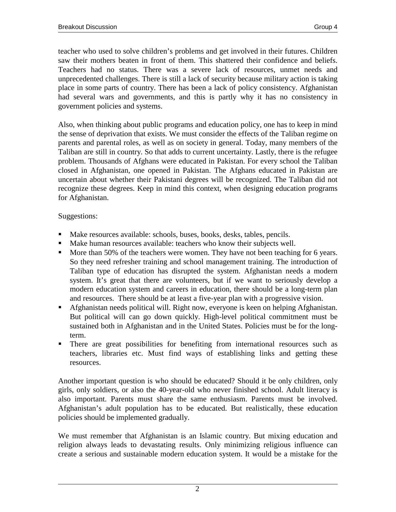teacher who used to solve children's problems and get involved in their futures. Children saw their mothers beaten in front of them. This shattered their confidence and beliefs. Teachers had no status. There was a severe lack of resources, unmet needs and unprecedented challenges. There is still a lack of security because military action is taking place in some parts of country. There has been a lack of policy consistency. Afghanistan had several wars and governments, and this is partly why it has no consistency in government policies and systems.

Also, when thinking about public programs and education policy, one has to keep in mind the sense of deprivation that exists. We must consider the effects of the Taliban regime on parents and parental roles, as well as on society in general. Today, many members of the Taliban are still in country. So that adds to current uncertainty. Lastly, there is the refugee problem. Thousands of Afghans were educated in Pakistan. For every school the Taliban closed in Afghanistan, one opened in Pakistan. The Afghans educated in Pakistan are uncertain about whether their Pakistani degrees will be recognized. The Taliban did not recognize these degrees. Keep in mind this context, when designing education programs for Afghanistan.

## Suggestions:

- ! Make resources available: schools, buses, books, desks, tables, pencils.
- ! Make human resources available: teachers who know their subjects well.
- ! More than 50% of the teachers were women. They have not been teaching for 6 years. So they need refresher training and school management training. The introduction of Taliban type of education has disrupted the system. Afghanistan needs a modern system. It's great that there are volunteers, but if we want to seriously develop a modern education system and careers in education, there should be a long-term plan and resources. There should be at least a five-year plan with a progressive vision.
- ! Afghanistan needs political will. Right now, everyone is keen on helping Afghanistan. But political will can go down quickly. High-level political commitment must be sustained both in Afghanistan and in the United States. Policies must be for the longterm.
- ! There are great possibilities for benefiting from international resources such as teachers, libraries etc. Must find ways of establishing links and getting these resources.

Another important question is who should be educated? Should it be only children, only girls, only soldiers, or also the 40-year-old who never finished school. Adult literacy is also important. Parents must share the same enthusiasm. Parents must be involved. Afghanistan's adult population has to be educated. But realistically, these education policies should be implemented gradually.

We must remember that Afghanistan is an Islamic country. But mixing education and religion always leads to devastating results. Only minimizing religious influence can create a serious and sustainable modern education system. It would be a mistake for the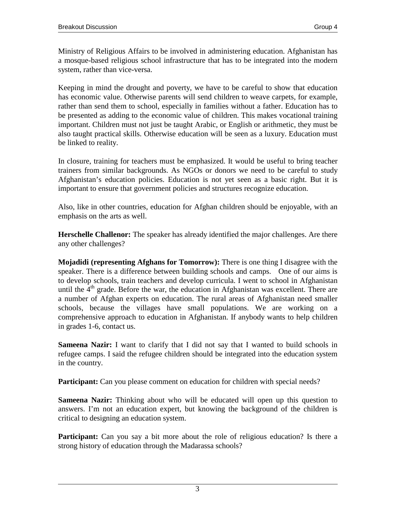Ministry of Religious Affairs to be involved in administering education. Afghanistan has a mosque-based religious school infrastructure that has to be integrated into the modern system, rather than vice-versa.

Keeping in mind the drought and poverty, we have to be careful to show that education has economic value. Otherwise parents will send children to weave carpets, for example, rather than send them to school, especially in families without a father. Education has to be presented as adding to the economic value of children. This makes vocational training important. Children must not just be taught Arabic, or English or arithmetic, they must be also taught practical skills. Otherwise education will be seen as a luxury. Education must be linked to reality.

In closure, training for teachers must be emphasized. It would be useful to bring teacher trainers from similar backgrounds. As NGOs or donors we need to be careful to study Afghanistan's education policies. Education is not yet seen as a basic right. But it is important to ensure that government policies and structures recognize education.

Also, like in other countries, education for Afghan children should be enjoyable, with an emphasis on the arts as well.

**Herschelle Challenor:** The speaker has already identified the major challenges. Are there any other challenges?

**Mojadidi (representing Afghans for Tomorrow):** There is one thing I disagree with the speaker. There is a difference between building schools and camps. One of our aims is to develop schools, train teachers and develop curricula. I went to school in Afghanistan until the  $4<sup>th</sup>$  grade. Before the war, the education in Afghanistan was excellent. There are a number of Afghan experts on education. The rural areas of Afghanistan need smaller schools, because the villages have small populations. We are working on a comprehensive approach to education in Afghanistan. If anybody wants to help children in grades 1-6, contact us.

**Sameena Nazir:** I want to clarify that I did not say that I wanted to build schools in refugee camps. I said the refugee children should be integrated into the education system in the country.

**Participant:** Can you please comment on education for children with special needs?

**Sameena Nazir:** Thinking about who will be educated will open up this question to answers. I'm not an education expert, but knowing the background of the children is critical to designing an education system.

**Participant:** Can you say a bit more about the role of religious education? Is there a strong history of education through the Madarassa schools?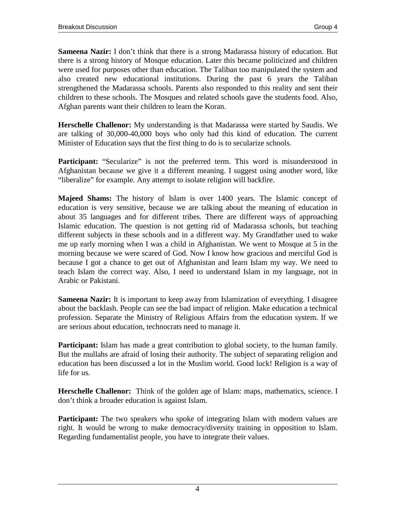**Sameena Nazir:** I don't think that there is a strong Madarassa history of education. But there is a strong history of Mosque education. Later this became politicized and children were used for purposes other than education. The Taliban too manipulated the system and also created new educational institutions. During the past 6 years the Taliban strengthened the Madarassa schools. Parents also responded to this reality and sent their children to these schools. The Mosques and related schools gave the students food. Also, Afghan parents want their children to learn the Koran.

**Herschelle Challenor:** My understanding is that Madarassa were started by Saudis. We are talking of 30,000-40,000 boys who only had this kind of education. The current Minister of Education says that the first thing to do is to secularize schools.

**Participant:** "Secularize" is not the preferred term. This word is misunderstood in Afghanistan because we give it a different meaning. I suggest using another word, like "liberalize" for example. Any attempt to isolate religion will backfire.

**Majeed Shams:** The history of Islam is over 1400 years. The Islamic concept of education is very sensitive, because we are talking about the meaning of education in about 35 languages and for different tribes. There are different ways of approaching Islamic education. The question is not getting rid of Madarassa schools, but teaching different subjects in these schools and in a different way. My Grandfather used to wake me up early morning when I was a child in Afghanistan. We went to Mosque at 5 in the morning because we were scared of God. Now I know how gracious and merciful God is because I got a chance to get out of Afghanistan and learn Islam my way. We need to teach Islam the correct way. Also, I need to understand Islam in my language, not in Arabic or Pakistani.

**Sameena Nazir:** It is important to keep away from Islamization of everything. I disagree about the backlash. People can see the bad impact of religion. Make education a technical profession. Separate the Ministry of Religious Affairs from the education system. If we are serious about education, technocrats need to manage it.

**Participant:** Islam has made a great contribution to global society, to the human family. But the mullahs are afraid of losing their authority. The subject of separating religion and education has been discussed a lot in the Muslim world. Good luck! Religion is a way of life for us.

**Herschelle Challenor:** Think of the golden age of Islam: maps, mathematics, science. I don't think a broader education is against Islam.

**Participant:** The two speakers who spoke of integrating Islam with modern values are right. It would be wrong to make democracy/diversity training in opposition to Islam. Regarding fundamentalist people, you have to integrate their values.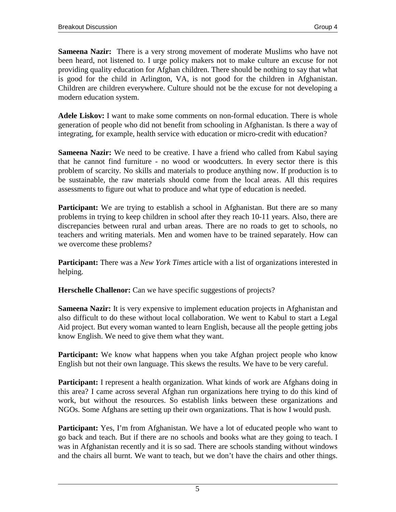**Sameena Nazir:** There is a very strong movement of moderate Muslims who have not been heard, not listened to. I urge policy makers not to make culture an excuse for not providing quality education for Afghan children. There should be nothing to say that what is good for the child in Arlington, VA, is not good for the children in Afghanistan. Children are children everywhere. Culture should not be the excuse for not developing a modern education system.

**Adele Liskov:** I want to make some comments on non-formal education. There is whole generation of people who did not benefit from schooling in Afghanistan. Is there a way of integrating, for example, health service with education or micro-credit with education?

**Sameena Nazir:** We need to be creative. I have a friend who called from Kabul saying that he cannot find furniture - no wood or woodcutters. In every sector there is this problem of scarcity. No skills and materials to produce anything now. If production is to be sustainable, the raw materials should come from the local areas. All this requires assessments to figure out what to produce and what type of education is needed.

**Participant:** We are trying to establish a school in Afghanistan. But there are so many problems in trying to keep children in school after they reach 10-11 years. Also, there are discrepancies between rural and urban areas. There are no roads to get to schools, no teachers and writing materials. Men and women have to be trained separately. How can we overcome these problems?

**Participant:** There was a *New York Times* article with a list of organizations interested in helping.

**Herschelle Challenor:** Can we have specific suggestions of projects?

**Sameena Nazir:** It is very expensive to implement education projects in Afghanistan and also difficult to do these without local collaboration. We went to Kabul to start a Legal Aid project. But every woman wanted to learn English, because all the people getting jobs know English. We need to give them what they want.

**Participant:** We know what happens when you take Afghan project people who know English but not their own language. This skews the results. We have to be very careful.

**Participant:** I represent a health organization. What kinds of work are Afghans doing in this area? I came across several Afghan run organizations here trying to do this kind of work, but without the resources. So establish links between these organizations and NGOs. Some Afghans are setting up their own organizations. That is how I would push.

**Participant:** Yes, I'm from Afghanistan. We have a lot of educated people who want to go back and teach. But if there are no schools and books what are they going to teach. I was in Afghanistan recently and it is so sad. There are schools standing without windows and the chairs all burnt. We want to teach, but we don't have the chairs and other things.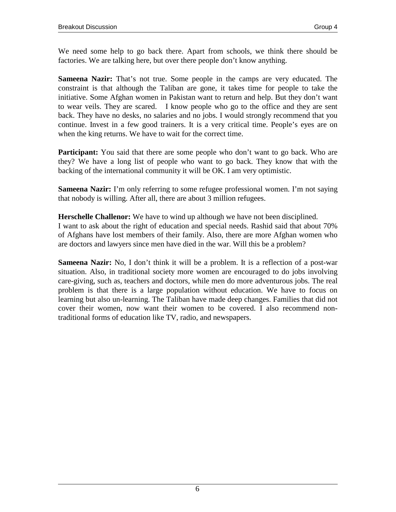We need some help to go back there. Apart from schools, we think there should be factories. We are talking here, but over there people don't know anything.

**Sameena Nazir:** That's not true. Some people in the camps are very educated. The constraint is that although the Taliban are gone, it takes time for people to take the initiative. Some Afghan women in Pakistan want to return and help. But they don't want to wear veils. They are scared. I know people who go to the office and they are sent back. They have no desks, no salaries and no jobs. I would strongly recommend that you continue. Invest in a few good trainers. It is a very critical time. People's eyes are on when the king returns. We have to wait for the correct time.

**Participant:** You said that there are some people who don't want to go back. Who are they? We have a long list of people who want to go back. They know that with the backing of the international community it will be OK. I am very optimistic.

**Sameena Nazir:** I'm only referring to some refugee professional women. I'm not saying that nobody is willing. After all, there are about 3 million refugees.

**Herschelle Challenor:** We have to wind up although we have not been disciplined.

I want to ask about the right of education and special needs. Rashid said that about 70% of Afghans have lost members of their family. Also, there are more Afghan women who are doctors and lawyers since men have died in the war. Will this be a problem?

**Sameena Nazir:** No, I don't think it will be a problem. It is a reflection of a post-war situation. Also, in traditional society more women are encouraged to do jobs involving care-giving, such as, teachers and doctors, while men do more adventurous jobs. The real problem is that there is a large population without education. We have to focus on learning but also un-learning. The Taliban have made deep changes. Families that did not cover their women, now want their women to be covered. I also recommend nontraditional forms of education like TV, radio, and newspapers.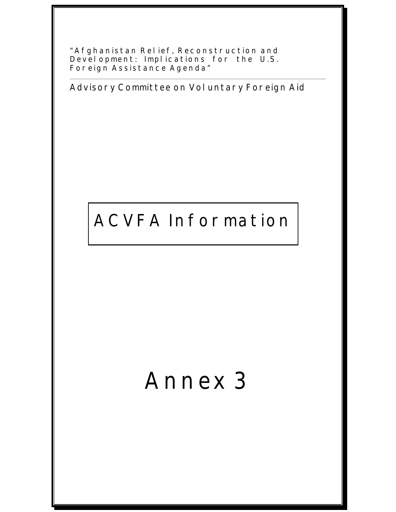**"Afghanistan Relief, Reconstruction and Development: Implications for the U.S. Foreign Assistance Agenda"** 

**Advisory Committee on Voluntary Foreign Aid** 

\_\_\_\_\_\_\_\_\_\_\_\_\_\_\_\_\_\_\_\_\_\_\_\_\_\_\_\_\_\_\_\_\_\_\_\_\_\_\_\_\_\_\_\_\_\_\_\_\_\_\_\_\_\_\_\_\_\_\_\_\_\_\_\_\_\_\_\_\_\_\_\_\_\_\_\_\_\_\_\_\_\_\_\_\_\_\_\_\_\_\_\_\_\_\_\_\_\_\_\_\_\_\_\_\_\_\_\_\_\_\_\_\_\_\_\_\_\_\_\_\_\_\_\_\_\_\_\_\_\_\_\_

## **ACVFA Information**

# **Annex 3**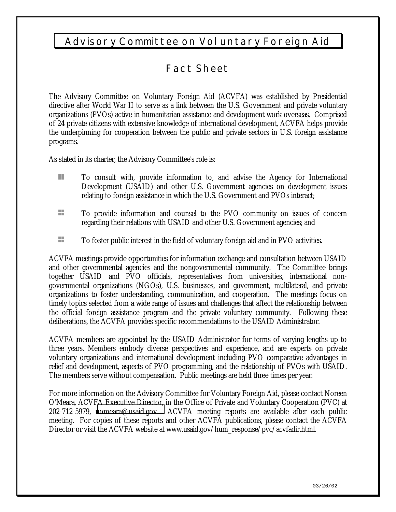## **Advisory Committee on Voluntary Foreign Aid**

## **Fact Sheet**

The Advisory Committee on Voluntary Foreign Aid (ACVFA) was established by Presidential directive after World War II to serve as a link between the U.S. Government and private voluntary organizations (PVOs) active in humanitarian assistance and development work overseas. Comprised of 24 private citizens with extensive knowledge of international development, ACVFA helps provide the underpinning for cooperation between the public and private sectors in U.S. foreign assistance programs.

As stated in its charter, the Advisory Committee's role is:

- **To consult with, provide information to, and advise the Agency for International** Development (USAID) and other U.S. Government agencies on development issues relating to foreign assistance in which the U.S. Government and PVOs interact;
- To provide information and counsel to the PVO community on issues of concern regarding their relations with USAID and other U.S. Government agencies; and
- To foster public interest in the field of voluntary foreign aid and in PVO activities.

ACVFA meetings provide opportunities for information exchange and consultation between USAID and other governmental agencies and the nongovernmental community. The Committee brings together USAID and PVO officials, representatives from universities, international nongovernmental organizations (NGOs), U.S. businesses, and government, multilateral, and private organizations to foster understanding, communication, and cooperation. The meetings focus on timely topics selected from a wide range of issues and challenges that affect the relationship between the official foreign assistance program and the private voluntary community. Following these deliberations, the ACVFA provides specific recommendations to the USAID Administrator.

ACVFA members are appointed by the USAID Administrator for terms of varying lengths up to three years. Members embody diverse perspectives and experience, and are experts on private voluntary organizations and international development including PVO comparative advantages in relief and development, aspects of PVO programming, and the relationship of PVOs with USAID. The members serve without compensation. Public meetings are held three times per year.

For more information on the Advisory Committee for Voluntary Foreign Aid, please contact Noreen O'Meara, ACVFA Executive Director, in the Office of Private and Voluntary Cooperation (PVC) at 202-712-5979, [nomeara@usaid.gov.](mailto:nomeara@usaid.gov) ACVFA meeting reports are available after each public meeting. For copies of these reports and other ACVFA publications, please contact the ACVFA Director or visit the ACVFA website at www.usaid.gov/hum\_response/pvc/acvfadir.html.